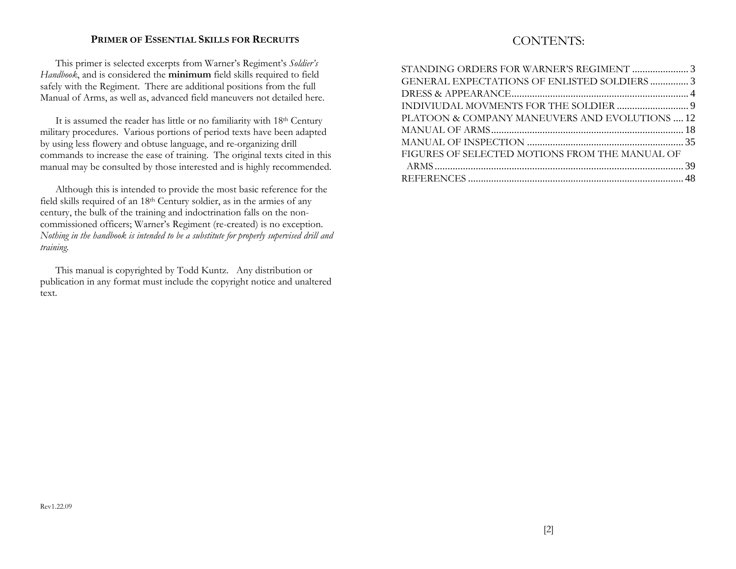### **PRIMER OF ESSENTIAL SKILLS FOR RECRUITS**

CONTENTS:

This primer is selected excerpts from Warner's Regiment's *Soldier's Handbook*, and is considered the **minimum** field skills required to field safely with the Regiment. There are additional positions from the full Manual of Arms, as well as, advanced field maneuvers not detailed here.

It is assumed the reader has little or no familiarity with 18th Century military procedures. Various portions of period texts have been adapted by using less flowery and obtuse language, and re-organizing drill commands to increase the ease of training. The original texts cited in this manual may be consulted by those interested and is highly recommended.

Although this is intended to provide the most basic reference for the field skills required of an 18th Century soldier, as in the armies of any century, the bulk of the training and indoctrination falls on the noncommissioned officers; Warner's Regiment (re-created) is no exception. *Nothing in the handbook is intended to be a substitute for properly supervised drill and training.*

This manual is copyrighted by Todd Kuntz. Any distribution or publication in any format must include the copyright notice and unaltered text.

| GENERAL EXPECTATIONS OF ENLISTED SOLDIERS3     |  |
|------------------------------------------------|--|
|                                                |  |
|                                                |  |
| PLATOON & COMPANY MANEUVERS AND EVOLUTIONS  12 |  |
|                                                |  |
|                                                |  |
| FIGURES OF SELECTED MOTIONS FROM THE MANUAL OF |  |
|                                                |  |
|                                                |  |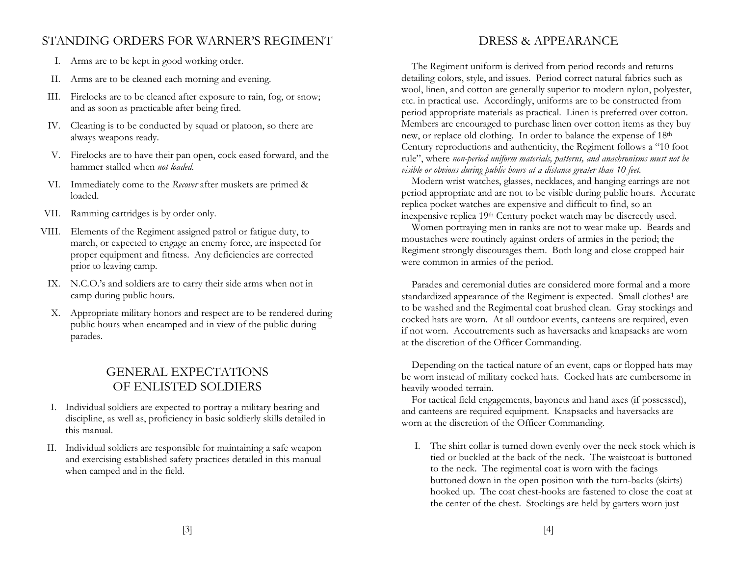## STANDING ORDERS FOR WARNER'S REGIMENT

- I. Arms are to be kept in good working order.
- II. Arms are to be cleaned each morning and evening.
- III. Firelocks are to be cleaned after exposure to rain, fog, or snow; and as soon as practicable after being fired.
- IV. Cleaning is to be conducted by squad or platoon, so there are always weapons ready.
- V. Firelocks are to have their pan open, cock eased forward, and the hammer stalled when *not loaded*.
- VI. Immediately come to the *Recover* after muskets are primed & loaded.
- VII. Ramming cartridges is by order only.
- VIII. Elements of the Regiment assigned patrol or fatigue duty, to march, or expected to engage an enemy force, are inspected for proper equipment and fitness. Any deficiencies are corrected prior to leaving camp.
- IX. N.C.O.'s and soldiers are to carry their side arms when not in camp during public hours.
- X. Appropriate military honors and respect are to be rendered during public hours when encamped and in view of the public during parades.

# GENERAL EXPECTATIONS OF ENLISTED SOLDIERS

- I. Individual soldiers are expected to portray a military bearing and discipline, as well as, proficiency in basic soldierly skills detailed in this manual.
- II. Individual soldiers are responsible for maintaining a safe weapon and exercising established safety practices detailed in this manual when camped and in the field.

## DRESS & APPEARANCE

The Regiment uniform is derived from period records and returns detailing colors, style, and issues. Period correct natural fabrics such as wool, linen, and cotton are generally superior to modern nylon, polyester, etc. in practical use. Accordingly, uniforms are to be constructed from period appropriate materials as practical. Linen is preferred over cotton. Members are encouraged to purchase linen over cotton items as they buy new, or replace old clothing. In order to balance the expense of 18th Century reproductions and authenticity, the Regiment follows a "10 foot rule", where *non-period uniform materials, patterns, and anachronisms must not be visible or obvious during public hours at a distance greater than 10 feet.*

Modern wrist watches, glasses, necklaces, and hanging earrings are not period appropriate and are not to be visible during public hours. Accurate replica pocket watches are expensive and difficult to find, so an inexpensive replica 19<sup>th</sup> Century pocket watch may be discreetly used.

Women portraying men in ranks are not to wear make up. Beards and moustaches were routinely against orders of armies in the period; the Regiment strongly discourages them. Both long and close cropped hair were common in armies of the period.

Parades and ceremonial duties are considered more formal and a more standardized appearance of the Regiment is expected. Small clothes<sup>1</sup> are to be washed and the Regimental coat brushed clean. Gray stockings and cocked hats are worn. At all outdoor events, canteens are required, even if not worn. Accoutrements such as haversacks and knapsacks are worn at the discretion of the Officer Commanding.

Depending on the tactical nature of an event, caps or flopped hats may be worn instead of military cocked hats. Cocked hats are cumbersome in heavily wooded terrain.

For tactical field engagements, bayonets and hand axes (if possessed), and canteens are required equipment. Knapsacks and haversacks are worn at the discretion of the Officer Commanding.

I. The shirt collar is turned down evenly over the neck stock which is tied or buckled at the back of the neck. The waistcoat is buttoned to the neck. The regimental coat is worn with the facings buttoned down in the open position with the turn-backs (skirts) hooked up. The coat chest-hooks are fastened to close the coat at the center of the chest. Stockings are held by garters worn just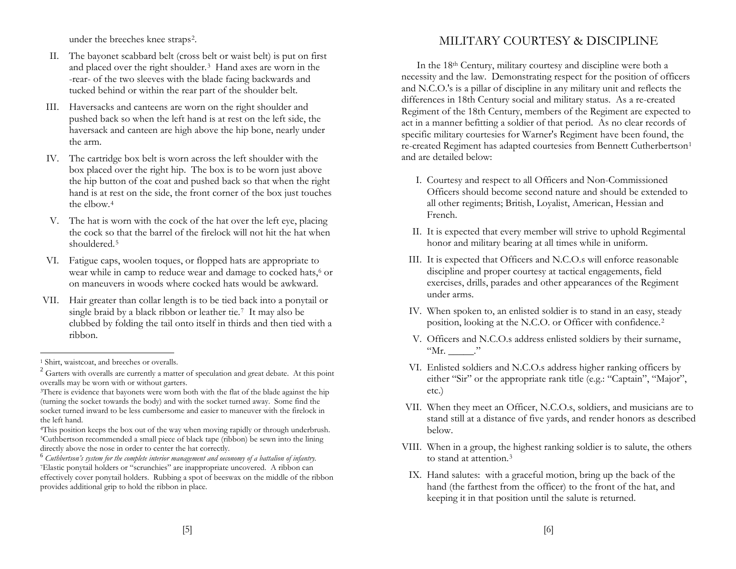under the breeches knee straps2.

- II. The bayonet scabbard belt (cross belt or waist belt) is put on first and placed over the right shoulder.3 Hand axes are worn in the -rear- of the two sleeves with the blade facing backwards and tucked behind or within the rear part of the shoulder belt.
- III. Haversacks and canteens are worn on the right shoulder and pushed back so when the left hand is at rest on the left side, the haversack and canteen are high above the hip bone, nearly under the arm.
- IV. The cartridge box belt is worn across the left shoulder with the box placed over the right hip. The box is to be worn just above the hip button of the coat and pushed back so that when the right hand is at rest on the side, the front corner of the box just touches the elbow.4
- V. The hat is worn with the cock of the hat over the left eye, placing the cock so that the barrel of the firelock will not hit the hat when shouldered.5
- VI. Fatigue caps, woolen toques, or flopped hats are appropriate to wear while in camp to reduce wear and damage to cocked hats,<sup>6</sup> or on maneuvers in woods where cocked hats would be awkward.
- VII. Hair greater than collar length is to be tied back into a ponytail or single braid by a black ribbon or leather tie.7 It may also be clubbed by folding the tail onto itself in thirds and then tied with a ribbon.

## MILITARY COURTESY & DISCIPLINE

In the 18th Century, military courtesy and discipline were both a necessity and the law. Demonstrating respect for the position of officers and N.C.O.'s is a pillar of discipline in any military unit and reflects the differences in 18th Century social and military status. As a re-created Regiment of the 18th Century, members of the Regiment are expected to act in a manner befitting a soldier of that period. As no clear records of specific military courtesies for Warner's Regiment have been found, the re-created Regiment has adapted courtesies from Bennett Cutherbertson1 and are detailed below:

- I. Courtesy and respect to all Officers and Non-Commissioned Officers should become second nature and should be extended to all other regiments; British, Loyalist, American, Hessian and French.
- II. It is expected that every member will strive to uphold Regimental honor and military bearing at all times while in uniform.
- III. It is expected that Officers and N.C.O.s will enforce reasonable discipline and proper courtesy at tactical engagements, field exercises, drills, parades and other appearances of the Regiment under arms.
- IV. When spoken to, an enlisted soldier is to stand in an easy, steady position, looking at the N.C.O. or Officer with confidence.2
- V. Officers and N.C.O.s address enlisted soldiers by their surname,  $"Mr.$  \_\_\_\_\_\_."
- VI. Enlisted soldiers and N.C.O.s address higher ranking officers by either "Sir" or the appropriate rank title (e.g.: "Captain", "Major", etc.)
- VII. When they meet an Officer, N.C.O.s, soldiers, and musicians are to stand still at a distance of five yards, and render honors as described below.
- VIII. When in a group, the highest ranking soldier is to salute, the others to stand at attention.3
- IX. Hand salutes: with a graceful motion, bring up the back of the hand (the farthest from the officer) to the front of the hat, and keeping it in that position until the salute is returned.

<sup>&</sup>lt;sup>1</sup> Shirt, waistcoat, and breeches or overalls.

 $2^{2}$  Garters with overalls are currently a matter of speculation and great debate. At this point overalls may be worn with or without garters.

<sup>&</sup>lt;sup>3</sup>There is evidence that bayonets were worn both with the flat of the blade against the hip (turning the socket towards the body) and with the socket turned away. Some find the socket turned inward to be less cumbersome and easier to maneuver with the firelock in the left hand.

<sup>4</sup>This position keeps the box out of the way when moving rapidly or through underbrush. 5Cuthbertson recommended a small piece of black tape (ribbon) be sewn into the lining directly above the nose in order to center the hat correctly.

<sup>6</sup> *Cuthbertson's system for the complete interior management and oeconomy of a battalion of infantry.* 7Elastic ponytail holders or "scrunchies" are inappropriate uncovered. A ribbon can effectively cover ponytail holders. Rubbing a spot of beeswax on the middle of the ribbon provides additional grip to hold the ribbon in place.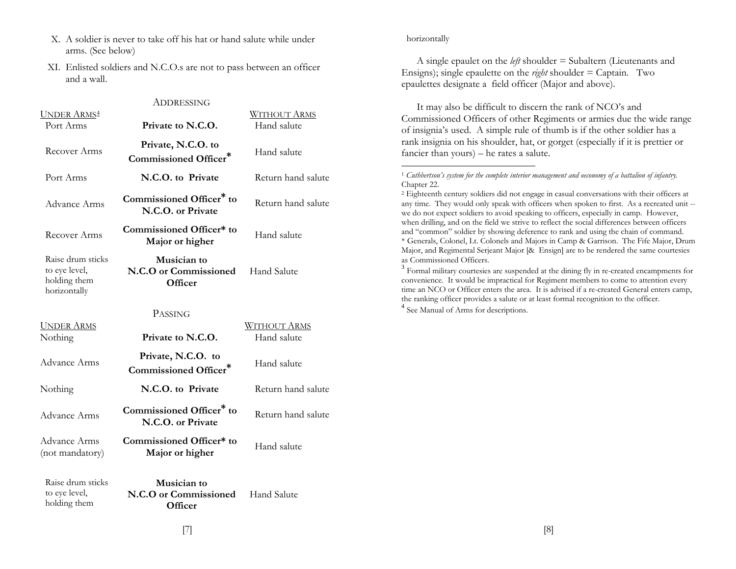- X. A soldier is never to take off his hat or hand salute while under arms. (See below)
- XI. Enlisted soldiers and N.C.O.s are not to pass between an officer and a wall.

|                                                                    | ADDRESSING                                                |                                    |
|--------------------------------------------------------------------|-----------------------------------------------------------|------------------------------------|
| <b>UNDER ARMS4</b><br>Port Arms                                    | Private to N.C.O.                                         | <b>WITHOUT ARMS</b><br>Hand salute |
| Recover Arms                                                       | Private, N.C.O. to<br>Commissioned Officer*               | Hand salute                        |
| Port Arms                                                          | N.C.O. to Private                                         | Return hand salute                 |
| Advance Arms                                                       | Commissioned Officer <sup>*</sup> to<br>N.C.O. or Private | Return hand salute                 |
| Recover Arms                                                       | Commissioned Officer* to<br>Major or higher               | Hand salute                        |
| Raise drum sticks<br>to eye level,<br>holding them<br>horizontally | Musician to<br>N.C.O or Commissioned<br>Officer           | Hand Salute                        |
|                                                                    | <b>PASSING</b>                                            |                                    |
| <b>UNDER ARMS</b><br>Nothing                                       | Private to N.C.O.                                         | <u>Without Arms</u><br>Hand salute |
| Advance Arms                                                       | Private, N.C.O. to<br>Commissioned Officer*               | Hand salute                        |
| Nothing                                                            | N.C.O. to Private                                         | Return hand salute                 |
| Advance Arms                                                       | Commissioned Officer <sup>*</sup> to<br>N.C.O. or Private | Return hand salute                 |
| Advance Arms                                                       | Commissioned Officer* to                                  | TT 1 1.                            |

#### horizontally

A single epaulet on the *left* shoulder = Subaltern (Lieutenants and Ensigns); single epaulette on the *right* shoulder = Captain. Two epaulettes designate a field officer (Major and above).

It may also be difficult to discern the rank of NCO's and Commissioned Officers of other Regiments or armies due the wide range of insignia's used. A simple rule of thumb is if the other soldier has a rank insignia on his shoulder, hat, or gorget (especially if it is prettier or fancier than yours) – he rates a salute.

(not mandatory)

to eye level, holding them

Raise drum sticks **Musician to N.C.O or Commissioned Officer** Hand Salute

**Major or higher** Hand salute

<sup>1</sup> *Cuthbertson's system for the complete interior management and oeconomy of a battalion of infantry.*  Chapter 22.

<sup>2</sup> Eighteenth century soldiers did not engage in casual conversations with their officers at any time. They would only speak with officers when spoken to first. As a recreated unit - we do not expect soldiers to avoid speaking to officers, especially in camp. However, when drilling, and on the field we strive to reflect the social differences between officers and "common" soldier by showing deference to rank and using the chain of command. \* Generals, Colonel, Lt. Colonels and Majors in Camp & Garrison. The Fife Major, Drum Major, and Regimental Serjeant Major [& Ensign] are to be rendered the same courtesies as Commissioned Officers.

 $3$  Formal military courtesies are suspended at the dining fly in re-created encampments for convenience. It would be impractical for Regiment members to come to attention every time an NCO or Officer enters the area. It is advised if a re-created General enters camp, the ranking officer provides a salute or at least formal recognition to the officer. <sup>4</sup> See Manual of Arms for descriptions.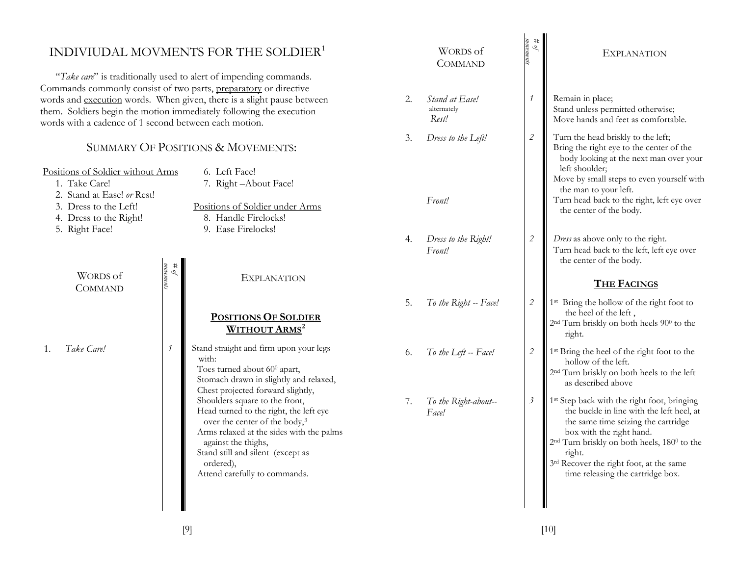|                                                                                                           |                                                                                                                                                                                                                   | INDIVIUDAL MOVMENTS FOR THE SOLDIER <sup>1</sup><br>"Take care" is traditionally used to alert of impending commands.                                                                                                                                                                                            |                                        | WORDS of<br><b>COMMAND</b>    | $\mathscr{P}$                                                                                | <b>EXPLANATION</b>                                                                                                                                                                                                                                                                                                                       |
|-----------------------------------------------------------------------------------------------------------|-------------------------------------------------------------------------------------------------------------------------------------------------------------------------------------------------------------------|------------------------------------------------------------------------------------------------------------------------------------------------------------------------------------------------------------------------------------------------------------------------------------------------------------------|----------------------------------------|-------------------------------|----------------------------------------------------------------------------------------------|------------------------------------------------------------------------------------------------------------------------------------------------------------------------------------------------------------------------------------------------------------------------------------------------------------------------------------------|
| words with a cadence of 1 second between each motion.                                                     | Commands commonly consist of two parts, preparatory or directive<br>words and execution words. When given, there is a slight pause between<br>them. Soldiers begin the motion immediately following the execution | 2.                                                                                                                                                                                                                                                                                                               | Stand at Ease!<br>alternately<br>Rest! | 1                             | Remain in place;<br>Stand unless permitted otherwise;<br>Move hands and feet as comfortable. |                                                                                                                                                                                                                                                                                                                                          |
| Positions of Soldier without Arms<br>1. Take Care!<br>2. Stand at Ease! or Rest!<br>3. Dress to the Left! |                                                                                                                                                                                                                   | SUMMARY OF POSITIONS & MOVEMENTS:<br>6. Left Face!<br>7. Right-About Face!<br>Positions of Soldier under Arms                                                                                                                                                                                                    | 3.                                     | Dress to the Left!<br>Front!  | $\sqrt{2}$                                                                                   | Turn the head briskly to the left;<br>Bring the right eye to the center of the<br>body looking at the next man over your<br>left shoulder;<br>Move by small steps to even yourself with<br>the man to your left.<br>Turn head back to the right, left eye over                                                                           |
| 4. Dress to the Right!<br>5. Right Face!                                                                  |                                                                                                                                                                                                                   | 8. Handle Firelocks!<br>9. Ease Firelocks!                                                                                                                                                                                                                                                                       | 4.                                     | Dress to the Right!<br>Front! | $\sqrt{2}$                                                                                   | the center of the body.<br>Dress as above only to the right.<br>Turn head back to the left, left eye over                                                                                                                                                                                                                                |
| <b>WORDS</b> of<br><b>COMMAND</b>                                                                         | $\begin{array}{l} \# \: of \\ \normalsize \end{array}$                                                                                                                                                            | <b>EXPLANATION</b>                                                                                                                                                                                                                                                                                               |                                        |                               |                                                                                              | the center of the body.<br><b>THE FACINGS</b>                                                                                                                                                                                                                                                                                            |
|                                                                                                           |                                                                                                                                                                                                                   | <b>POSITIONS OF SOLDIER</b><br><b>WITHOUT ARMS</b> <sup>2</sup>                                                                                                                                                                                                                                                  | 5.                                     | To the Right -- Face!         | $\mathcal{L}_{\mathcal{L}}$                                                                  | 1 <sup>st</sup> Bring the hollow of the right foot to<br>the heel of the left,<br>2 <sup>nd</sup> Turn briskly on both heels 90 <sup>0</sup> to the<br>right.                                                                                                                                                                            |
| Take Care!                                                                                                | 1                                                                                                                                                                                                                 |                                                                                                                                                                                                                                                                                                                  |                                        |                               |                                                                                              |                                                                                                                                                                                                                                                                                                                                          |
|                                                                                                           |                                                                                                                                                                                                                   | Stand straight and firm upon your legs<br>with:<br>Toes turned about 60 <sup>0</sup> apart,<br>Stomach drawn in slightly and relaxed,                                                                                                                                                                            | 6.                                     | To the Left -- Face!          | $\mathcal{L}_{\mathcal{L}}$                                                                  | 1 <sup>st</sup> Bring the heel of the right foot to the<br>hollow of the left.<br>2 <sup>nd</sup> Turn briskly on both heels to the left<br>as described above                                                                                                                                                                           |
|                                                                                                           |                                                                                                                                                                                                                   | Chest projected forward slightly,<br>Shoulders square to the front,<br>Head turned to the right, the left eye<br>over the center of the body, <sup>3</sup><br>Arms relaxed at the sides with the palms<br>against the thighs,<br>Stand still and silent (except as<br>ordered),<br>Attend carefully to commands. | 7.                                     | To the Right-about--<br>Face! | $\beta$                                                                                      | 1 <sup>st</sup> Step back with the right foot, bringing<br>the buckle in line with the left heel, at<br>the same time seizing the cartridge<br>box with the right hand.<br>2 <sup>nd</sup> Turn briskly on both heels, 180 <sup>0</sup> to the<br>right.<br>3rd Recover the right foot, at the same<br>time releasing the cartridge box. |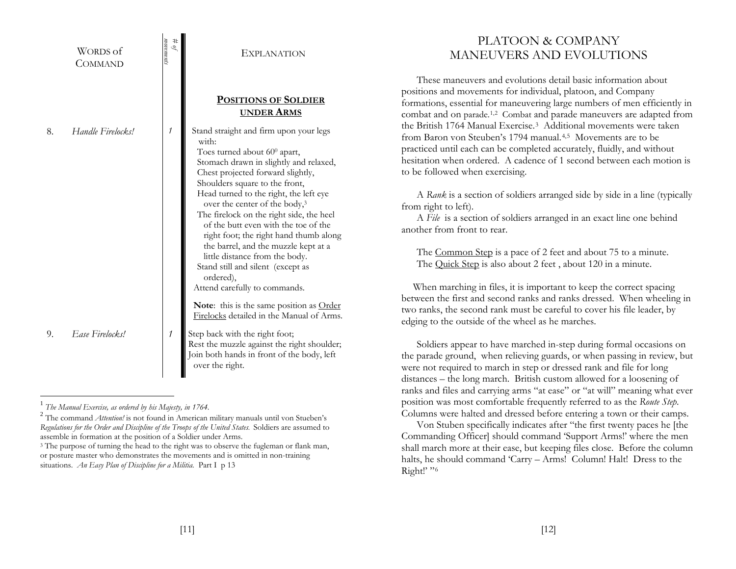|    | <b>WORDS</b> of<br><b>COMMAND</b> | movements<br>$\mu$ $\theta$ | <b>EXPLANATION</b>                                                                                                                                                                                                                                                                                                                                                                                                                                                                                                                                                                                   | PLATOON & COMPANY<br>MANEUVERS AND EVOLUTIONS                                                                                                                                                                                                                                                                                                                                                                                                                                                                                                                                                                                                                                                                                                                                                                                                                                                                                                                                                    |
|----|-----------------------------------|-----------------------------|------------------------------------------------------------------------------------------------------------------------------------------------------------------------------------------------------------------------------------------------------------------------------------------------------------------------------------------------------------------------------------------------------------------------------------------------------------------------------------------------------------------------------------------------------------------------------------------------------|--------------------------------------------------------------------------------------------------------------------------------------------------------------------------------------------------------------------------------------------------------------------------------------------------------------------------------------------------------------------------------------------------------------------------------------------------------------------------------------------------------------------------------------------------------------------------------------------------------------------------------------------------------------------------------------------------------------------------------------------------------------------------------------------------------------------------------------------------------------------------------------------------------------------------------------------------------------------------------------------------|
| 8. | Handle Firelocks!                 |                             | <b>POSITIONS OF SOLDIER</b><br><b>UNDER ARMS</b><br>Stand straight and firm upon your legs<br>with:<br>Toes turned about 60 <sup>0</sup> apart,<br>Stomach drawn in slightly and relaxed,<br>Chest projected forward slightly,<br>Shoulders square to the front,<br>Head turned to the right, the left eye<br>over the center of the body, <sup>3</sup><br>The firelock on the right side, the heel<br>of the butt even with the toe of the<br>right foot; the right hand thumb along<br>the barrel, and the muzzle kept at a<br>little distance from the body.<br>Stand still and silent (except as | These maneuvers and evolutions detail basic information about<br>positions and movements for individual, platoon, and Company<br>formations, essential for maneuvering large numbers of men efficiently in<br>combat and on parade. <sup>1,2</sup> Combat and parade maneuvers are adapted from<br>the British 1764 Manual Exercise. <sup>3</sup> Additional movements were taken<br>from Baron von Steuben's 1794 manual. <sup>4,5</sup> Movements are to be<br>practiced until each can be completed accurately, fluidly, and without<br>hesitation when ordered. A cadence of 1 second between each motion is<br>to be followed when exercising.<br>A Rank is a section of soldiers arranged side by side in a line (typically<br>from right to left).<br>A File is a section of soldiers arranged in an exact line one behind<br>another from front to rear.<br>The Common Step is a pace of 2 feet and about 75 to a minute.<br>The Quick Step is also about 2 feet, about 120 in a minute. |
|    |                                   |                             | ordered),<br>Attend carefully to commands.<br>Note: this is the same position as Order<br>Firelocks detailed in the Manual of Arms.                                                                                                                                                                                                                                                                                                                                                                                                                                                                  | When marching in files, it is important to keep the correct spacing<br>between the first and second ranks and ranks dressed. When wheeling in<br>two ranks, the second rank must be careful to cover his file leader, by<br>edging to the outside of the wheel as he marches.                                                                                                                                                                                                                                                                                                                                                                                                                                                                                                                                                                                                                                                                                                                    |
| 9. | Ease Firelocks!                   |                             | Step back with the right foot;<br>Rest the muzzle against the right shoulder;<br>Join both hands in front of the body, left<br>over the right.                                                                                                                                                                                                                                                                                                                                                                                                                                                       | Soldiers appear to have marched in-step during formal occasions on<br>the parade ground, when relieving guards, or when passing in review, but<br>were not required to march in step or dressed rank and file for long<br>distances – the long march. British custom allowed for a loosening of                                                                                                                                                                                                                                                                                                                                                                                                                                                                                                                                                                                                                                                                                                  |

Right!' "<sup>6</sup>

ranks and files and carrying arms "at ease" or "at will" meaning what ever position was most comfortable frequently referred to as the *Route Step*. Columns were halted and dressed before entering a town or their camps. Von Stuben specifically indicates after "the first twenty paces he [the Commanding Officer] should command 'Support Arms!' where the men shall march more at their ease, but keeping files close. Before the column halts, he should command 'Carry – Arms! Column! Halt! Dress to the

<sup>1</sup> *The Manual Exercise, as ordered by his Majesty, in 1764.*

<sup>&</sup>lt;sup>2</sup> The command *Attention!* is not found in American military manuals until von Stueben's *Regulations for the Order and Discipline of the Troops of the United States*. Soldiers are assumed to assemble in formation at the position of a Soldier under Arms.

<sup>&</sup>lt;sup>3</sup> The purpose of turning the head to the right was to observe the fugleman or flank man, or posture master who demonstrates the movements and is omitted in non-training situations. *An Easy Plan of Discipline for a Militia.* Part I p 13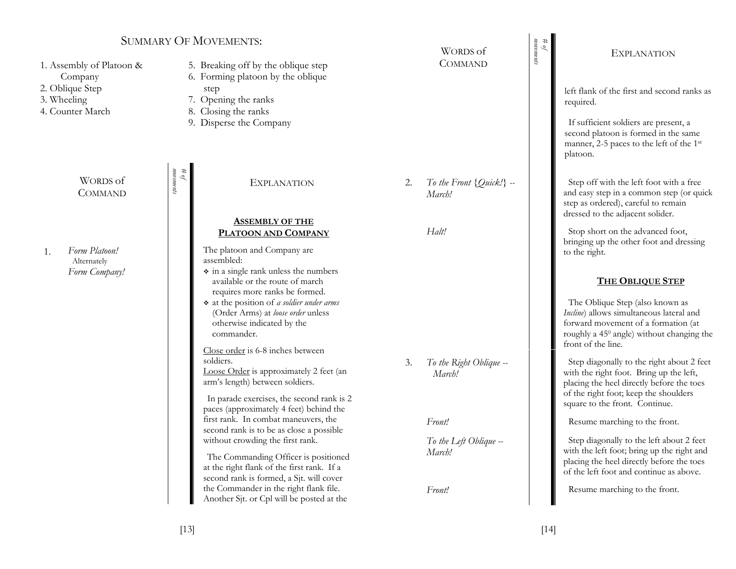### SUMMARY OF MOVEMENTS:

| 1. Assembly of Platoon &<br>Company<br>2. Oblique Step<br>3. Wheeling<br>4. Counter March |                                           | 5. Breaking off by the oblique step<br>6. Forming platoon by the oblique<br>step<br>7. Opening the ranks<br>8. Closing the ranks<br>9. Disperse the Company                                                                                                                            |    | ,, ondo or<br><b>COMMAND</b>           |
|-------------------------------------------------------------------------------------------|-------------------------------------------|----------------------------------------------------------------------------------------------------------------------------------------------------------------------------------------------------------------------------------------------------------------------------------------|----|----------------------------------------|
| WORDS of<br><b>COMMAND</b>                                                                | $\ddagger$<br>токтепіз<br>$\mathcal{A}$ . | <b>EXPLANATION</b>                                                                                                                                                                                                                                                                     | 2. | To the Front $\{Quick!\}$ --<br>March! |
|                                                                                           |                                           | <b>ASSEMBLY OF THE</b><br>PLATOON AND COMPANY                                                                                                                                                                                                                                          |    | Halt!                                  |
| Form Platoon!<br>1.<br>Alternately<br>Form Company!                                       |                                           | The platoon and Company are<br>assembled:<br>• in a single rank unless the numbers<br>available or the route of march<br>requires more ranks be formed.<br>* at the position of a soldier under arms<br>(Order Arms) at loose order unless<br>otherwise indicated by the<br>commander. |    |                                        |
|                                                                                           |                                           | Close order is 6-8 inches between<br>soldiers.<br>Loose Order is approximately 2 feet (an<br>arm's length) between soldiers.                                                                                                                                                           | 3. | To the Right Oblique --<br>March!      |
|                                                                                           |                                           | In parade exercises, the second rank is 2<br>paces (approximately 4 feet) behind the<br>first rank. In combat maneuvers, the                                                                                                                                                           |    | Front!                                 |
|                                                                                           |                                           | second rank is to be as close a possible<br>without crowding the first rank.                                                                                                                                                                                                           |    | To the Left Oblique --                 |
|                                                                                           |                                           | The Commanding Officer is positioned<br>at the right flank of the first rank. If a<br>second rank is formed, a Sjt. will cover<br>the Commander in the right flank file.<br>Another Sjt. or Cpl will be posted at the                                                                  |    | March!<br>Front!                       |

#### EXPLANATION

WORDS of

*movements # of* 

> left flank of the first and second ranks as required.

If sufficient soldiers are present, a second platoon is formed in the same manner, 2-5 paces to the left of the 1st platoon.

Step off with the left foot with a free and easy step in a common step (or quick step as ordered), careful to remain dressed to the adjacent solider.

Stop short on the advanced foot, bringing up the other foot and dressing to the right.

#### **THE OBLIQUE STEP**

The Oblique Step (also known as *Incline*) allows simultaneous lateral and forward movement of a formation (at roughly a 450 angle) without changing the front of the line.

Step diagonally to the right about 2 feet with the right foot. Bring up the left, placing the heel directly before the toes of the right foot; keep the shoulders square to the front. Continue.

Resume marching to the front.

Step diagonally to the left about 2 feet with the left foot; bring up the right and placing the heel directly before the toes of the left foot and continue as above.

Resume marching to the front.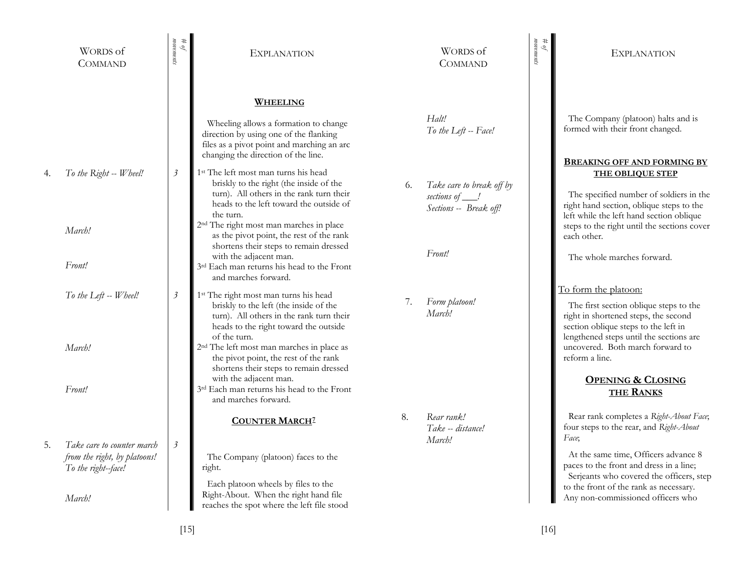|    | <b>WORDS</b> of<br><b>COMMAND</b>                   | токтепіз<br>#<br>$\mathcal{P}$ | <b>EXPLANATION</b>                                                                                                                                                                                                                        |    | WORDS of<br><b>COMMAND</b>                                              | movements<br>$\mu$ of | <b>EXPLANATION</b>                                                                                                                                                                                         |
|----|-----------------------------------------------------|--------------------------------|-------------------------------------------------------------------------------------------------------------------------------------------------------------------------------------------------------------------------------------------|----|-------------------------------------------------------------------------|-----------------------|------------------------------------------------------------------------------------------------------------------------------------------------------------------------------------------------------------|
|    |                                                     |                                | <b>WHEELING</b><br>Wheeling allows a formation to change<br>direction by using one of the flanking<br>files as a pivot point and marching an arc<br>changing the direction of the line.                                                   |    | Halt!<br>To the Left -- Face!                                           |                       | The Company (platoon) halts and is<br>formed with their front changed.<br><b>BREAKING OFF AND FORMING BY</b>                                                                                               |
| 4. | To the Right -- Wheel!                              | $\overline{\mathbf{3}}$        | 1 <sup>st</sup> The left most man turns his head<br>briskly to the right (the inside of the<br>turn). All others in the rank turn their<br>heads to the left toward the outside of<br>the turn.                                           | 6. | Take care to break off by<br>sections of ___!<br>Sections -- Break off! |                       | <b>THE OBLIQUE STEP</b><br>The specified number of soldiers in the<br>right hand section, oblique steps to the<br>left while the left hand section oblique                                                 |
|    | March!<br>Front!                                    |                                | 2 <sup>nd</sup> The right most man marches in place<br>as the pivot point, the rest of the rank<br>shortens their steps to remain dressed<br>with the adjacent man.<br>3rd Each man returns his head to the Front<br>and marches forward. |    | Front!                                                                  |                       | steps to the right until the sections cover<br>each other.<br>The whole marches forward.                                                                                                                   |
|    | To the Left -- Wheel!                               | $\mathfrak{Z}$                 | 1 <sup>st</sup> The right most man turns his head<br>briskly to the left (the inside of the<br>turn). All others in the rank turn their<br>heads to the right toward the outside<br>of the turn.                                          | 7. | Form platoon!<br>March!                                                 |                       | To form the platoon:<br>The first section oblique steps to the<br>right in shortened steps, the second<br>section oblique steps to the left in<br>lengthened steps until the sections are                  |
|    | March!<br>Front!                                    |                                | 2 <sup>nd</sup> The left most man marches in place as<br>the pivot point, the rest of the rank<br>shortens their steps to remain dressed<br>with the adjacent man.<br>3rd Each man returns his head to the Front                          |    |                                                                         |                       | uncovered. Both march forward to<br>reform a line.<br><b>OPENING &amp; CLOSING</b><br><b>THE RANKS</b>                                                                                                     |
|    | Take care to counter march                          | $\overline{\mathcal{E}}$       | and marches forward.<br><b>COUNTER MARCHZ</b>                                                                                                                                                                                             | 8. | Rear rank!<br>Take -- distance!<br>March!                               |                       | Rear rank completes a Right-About Face;<br>four steps to the rear, and Right-About<br>Face,                                                                                                                |
|    | from the right, by platoons!<br>To the right--face! |                                | The Company (platoon) faces to the<br>right.<br>Each platoon wheels by files to the<br>Right-About. When the right hand file                                                                                                              |    |                                                                         |                       | At the same time, Officers advance 8<br>paces to the front and dress in a line;<br>Serjeants who covered the officers, step<br>to the front of the rank as necessary.<br>Any non-commissioned officers who |
|    | March!                                              |                                | reaches the spot where the left file stood                                                                                                                                                                                                |    |                                                                         |                       |                                                                                                                                                                                                            |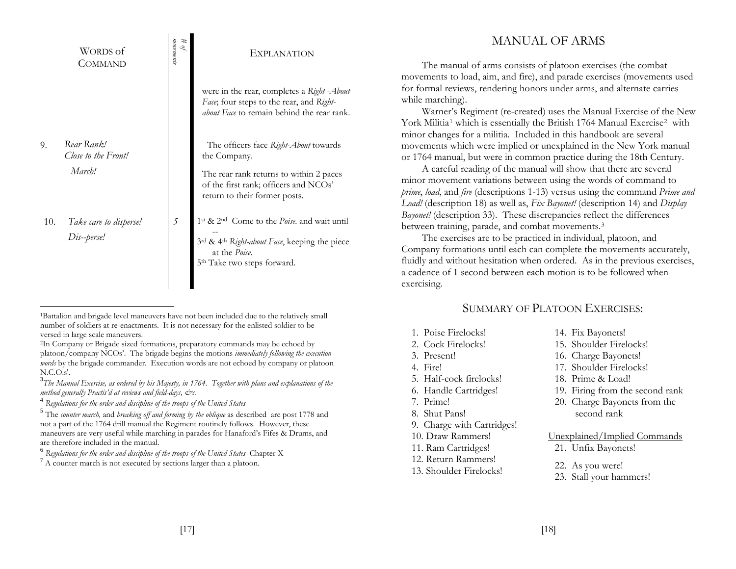|     | WORDS of<br>COMMAND                         | токтепи<br>#<br>Q | <b>EXPLANATION</b>                                                                                                                                                                           |
|-----|---------------------------------------------|-------------------|----------------------------------------------------------------------------------------------------------------------------------------------------------------------------------------------|
|     |                                             |                   | were in the rear, completes a Right - About<br>Face; four steps to the rear, and Right-<br>about Face to remain behind the rear rank.                                                        |
| 9.  | Rear Rank!<br>Close to the Front!<br>March! |                   | The officers face Right-About towards<br>the Company.<br>The rear rank returns to within 2 paces<br>of the first rank; officers and NCOs'<br>return to their former posts.                   |
| 10. | Take care to disperse!<br>Dis--perse!       | 5                 | 1st & 2 <sup>nd</sup> Come to the Poise. and wait until<br>3 <sup>rd</sup> & 4 <sup>th</sup> Right-about Face, keeping the piece<br>at the Poise.<br>5 <sup>th</sup> Take two steps forward. |

<sup>1</sup>Battalion and brigade level maneuvers have not been included due to the relatively small number of soldiers at re-enactments. It is not necessary for the enlisted soldier to be versed in large scale maneuvers.

 $7 A$  counter march is not executed by sections larger than a platoon.

## MANUAL OF ARMS

The manual of arms consists of platoon exercises (the combat movements to load, aim, and fire), and parade exercises (movements used for formal reviews, rendering honors under arms, and alternate carries while marching).

Warner's Regiment (re-created) uses the Manual Exercise of the New York Militia<sup>1</sup> which is essentially the British 1764 Manual Exercise<sup>2</sup> with minor changes for a militia. Included in this handbook are several movements which were implied or unexplained in the New York manual or 1764 manual, but were in common practice during the 18th Century.

A careful reading of the manual will show that there are several minor movement variations between using the words of command to *prime*, *load*, and *fire* (descriptions 1-13) versus using the command *Prime and Load!* (description 18) as well as, *Fix Bayonet!* (description 14) and *Display Bayonet!* (description 33). These discrepancies reflect the differences between training, parade, and combat movements.3

The exercises are to be practiced in individual, platoon, and Company formations until each can complete the movements accurately, fluidly and without hesitation when ordered. As in the previous exercises, a cadence of 1 second between each motion is to be followed when exercising.

## SUMMARY OF PLATOON EXERCISES:

- 1. Poise Firelocks!
- 2. Cock Firelocks!
- 3. Present!
- 4. Fire!
- 5. Half-cock firelocks!
- 6. Handle Cartridges!
- 7. Prime!
- 8. Shut Pans!
- 9. Charge with Cartridges!
- 10. Draw Rammers!
- 11. Ram Cartridges!
- 12. Return Rammers!
- 13. Shoulder Firelocks!
- 14. Fix Bayonets!
- 15. Shoulder Firelocks!
- 16. Charge Bayonets!
- 17. Shoulder Firelocks!
- 18. Prime & Load!
- 19. Firing from the second rank
- 20. Charge Bayonets from the second rank

#### Unexplained/Implied Commands

- 21. Unfix Bayonets!
- 22. As you were!
- 23. Stall your hammers!

<sup>2</sup>In Company or Brigade sized formations, preparatory commands may be echoed by platoon/company NCOs'. The brigade begins the motions *immediately following the execution words* by the brigade commander. Execution words are not echoed by company or platoon N.C.O.s'.

<sup>3</sup>*The Manual Exercise, as ordered by his Majesty, in 1764. Together with plans and explanations of the method generally Practis'd at reviews and field-days, &c.*

<sup>4</sup> *Regulations for the order and discipline of the troops of the United States*

<sup>5</sup> The *counter march,* and *breaking off and forming by the oblique* as described are post 1778 and not a part of the 1764 drill manual the Regiment routinely follows. However, these maneuvers are very useful while marching in parades for Hanaford's Fifes & Drums, and are therefore included in the manual.

<sup>&</sup>lt;sup>6</sup> Regulations for the order and discipline of the troops of the United States Chapter X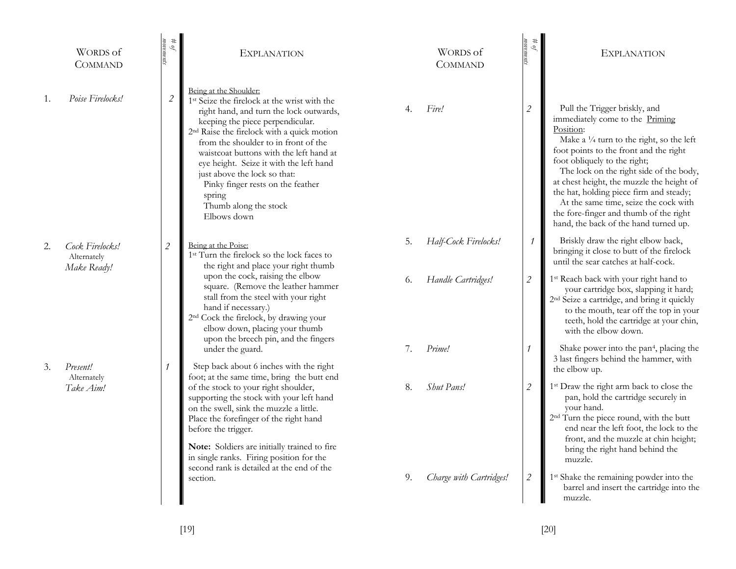|    | WORDS of<br><b>COMMAND</b>                    | $\theta$ #<br>movements     | <b>EXPLANATION</b>                                                                                                                                                                                                                                                                                                                                                                                                                                                               |    | WORDS of<br><b>COMMAND</b> | $\#$ $\theta$               | <b>EXPLANATION</b>                                                                                                                                                                                                                                                                                                                                                                                                                                                            |
|----|-----------------------------------------------|-----------------------------|----------------------------------------------------------------------------------------------------------------------------------------------------------------------------------------------------------------------------------------------------------------------------------------------------------------------------------------------------------------------------------------------------------------------------------------------------------------------------------|----|----------------------------|-----------------------------|-------------------------------------------------------------------------------------------------------------------------------------------------------------------------------------------------------------------------------------------------------------------------------------------------------------------------------------------------------------------------------------------------------------------------------------------------------------------------------|
| 1. | Poise Firelocks!                              | $\mathcal{L}_{\mathcal{L}}$ | Being at the Shoulder:<br>1 <sup>st</sup> Seize the firelock at the wrist with the<br>right hand, and turn the lock outwards,<br>keeping the piece perpendicular.<br>2 <sup>nd</sup> Raise the firelock with a quick motion<br>from the shoulder to in front of the<br>waistcoat buttons with the left hand at<br>eye height. Seize it with the left hand<br>just above the lock so that:<br>Pinky finger rests on the feather<br>spring<br>Thumb along the stock<br>Elbows down | 4. | Fire!                      | 2                           | Pull the Trigger briskly, and<br>immediately come to the Priming<br>Position:<br>Make a $\frac{1}{4}$ turn to the right, so the left<br>foot points to the front and the right<br>foot obliquely to the right;<br>The lock on the right side of the body,<br>at chest height, the muzzle the height of<br>the hat, holding piece firm and steady;<br>At the same time, seize the cock with<br>the fore-finger and thumb of the right<br>hand, the back of the hand turned up. |
| 2. | Cock Firelocks!<br>Alternately<br>Make Ready! | $\sqrt{2}$                  | Being at the Poise:<br>1 <sup>st</sup> Turn the firelock so the lock faces to<br>the right and place your right thumb                                                                                                                                                                                                                                                                                                                                                            | 5. | Half-Cock Firelocks!       | 1                           | Briskly draw the right elbow back,<br>bringing it close to butt of the firelock<br>until the sear catches at half-cock.                                                                                                                                                                                                                                                                                                                                                       |
|    |                                               |                             | upon the cock, raising the elbow<br>square. (Remove the leather hammer<br>stall from the steel with your right<br>hand if necessary.)<br>2 <sup>nd</sup> Cock the firelock, by drawing your<br>elbow down, placing your thumb<br>upon the breech pin, and the fingers                                                                                                                                                                                                            | 6. | Handle Cartridges!         | $\mathcal{L}_{\mathcal{L}}$ | 1 <sup>st</sup> Reach back with your right hand to<br>your cartridge box, slapping it hard;<br>2 <sup>nd</sup> Seize a cartridge, and bring it quickly<br>to the mouth, tear off the top in your<br>teeth, hold the cartridge at your chin,<br>with the elbow down.                                                                                                                                                                                                           |
| 3. | Present!                                      | $\boldsymbol{\eta}$         | under the guard.<br>Step back about 6 inches with the right                                                                                                                                                                                                                                                                                                                                                                                                                      | 7. | Prime!                     |                             | Shake power into the pan <sup>4</sup> , placing the<br>3 last fingers behind the hammer, with<br>the elbow up.                                                                                                                                                                                                                                                                                                                                                                |
|    | Alternately<br>Take Aim!                      |                             | foot; at the same time, bring the butt end<br>of the stock to your right shoulder,<br>supporting the stock with your left hand<br>on the swell, sink the muzzle a little.<br>Place the forefinger of the right hand<br>before the trigger.<br>Note: Soldiers are initially trained to fire<br>in single ranks. Firing position for the<br>second rank is detailed at the end of the                                                                                              | 8. | Shut Pans!                 | 2                           | 1 <sup>st</sup> Draw the right arm back to close the<br>pan, hold the cartridge securely in<br>your hand.<br>2 <sup>nd</sup> Turn the piece round, with the butt<br>end near the left foot, the lock to the<br>front, and the muzzle at chin height;<br>bring the right hand behind the<br>muzzle.                                                                                                                                                                            |
|    |                                               |                             | section.                                                                                                                                                                                                                                                                                                                                                                                                                                                                         | 9. | Charge with Cartridges!    | $\mathcal{L}_{\mathcal{L}}$ | 1 <sup>st</sup> Shake the remaining powder into the<br>barrel and insert the cartridge into the<br>muzzle.                                                                                                                                                                                                                                                                                                                                                                    |
|    |                                               |                             |                                                                                                                                                                                                                                                                                                                                                                                                                                                                                  |    |                            |                             |                                                                                                                                                                                                                                                                                                                                                                                                                                                                               |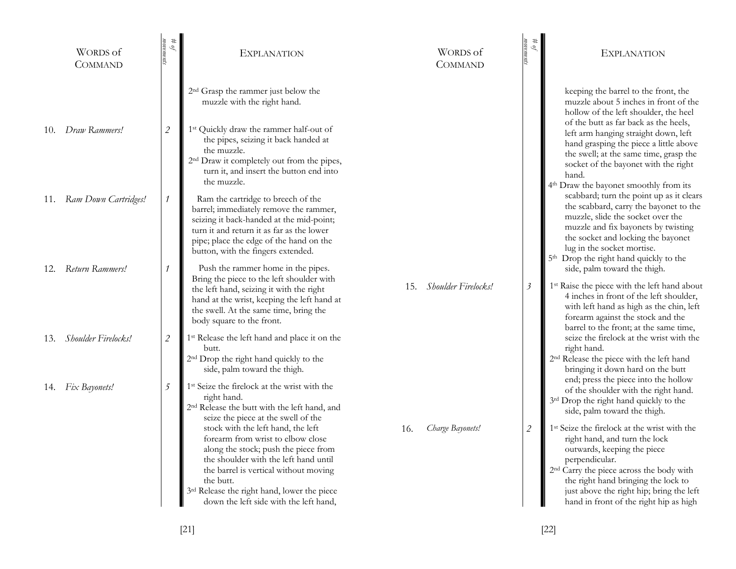|     | WORDS of<br>COMMAND      | $\theta_{\theta}$ #         | <b>EXPLANATION</b>                                                                                                                                                                                                                                                                                      |     | WORDS of<br><b>COMMAND</b> | movements<br>#<br>Q         | <b>EXPLANATION</b>                                                                                                                                                                                                                                                                                                              |
|-----|--------------------------|-----------------------------|---------------------------------------------------------------------------------------------------------------------------------------------------------------------------------------------------------------------------------------------------------------------------------------------------------|-----|----------------------------|-----------------------------|---------------------------------------------------------------------------------------------------------------------------------------------------------------------------------------------------------------------------------------------------------------------------------------------------------------------------------|
|     |                          |                             | 2 <sup>nd</sup> Grasp the rammer just below the<br>muzzle with the right hand.                                                                                                                                                                                                                          |     |                            |                             | keeping the barrel to the front, the<br>muzzle about 5 inches in front of the<br>hollow of the left shoulder, the heel<br>of the butt as far back as the heels,                                                                                                                                                                 |
| 10. | Draw Rammers!            | $\mathcal{L}_{\mathcal{L}}$ | 1st Quickly draw the rammer half-out of<br>the pipes, seizing it back handed at<br>the muzzle.<br>2 <sup>nd</sup> Draw it completely out from the pipes,<br>turn it, and insert the button end into<br>the muzzle.                                                                                      |     |                            |                             | left arm hanging straight down, left<br>hand grasping the piece a little above<br>the swell; at the same time, grasp the<br>socket of the bayonet with the right<br>hand.<br>4 <sup>th</sup> Draw the bayonet smoothly from its                                                                                                 |
|     | 11. Ram Down Cartridges! | 1                           | Ram the cartridge to breech of the<br>barrel; immediately remove the rammer,<br>seizing it back-handed at the mid-point;<br>turn it and return it as far as the lower<br>pipe; place the edge of the hand on the<br>button, with the fingers extended.                                                  |     |                            |                             | scabbard; turn the point up as it clears<br>the scabbard, carry the bayonet to the<br>muzzle, slide the socket over the<br>muzzle and fix bayonets by twisting<br>the socket and locking the bayonet<br>lug in the socket mortise.<br>5 <sup>th</sup> Drop the right hand quickly to the                                        |
|     | 12. Return Rammers!      |                             | Push the rammer home in the pipes.<br>Bring the piece to the left shoulder with<br>the left hand, seizing it with the right<br>hand at the wrist, keeping the left hand at<br>the swell. At the same time, bring the<br>body square to the front.                                                       |     | 15. Shoulder Firelocks!    | $\mathfrak{Z}$              | side, palm toward the thigh.<br>1st Raise the piece with the left hand about<br>4 inches in front of the left shoulder,<br>with left hand as high as the chin, left<br>forearm against the stock and the<br>barrel to the front; at the same time,                                                                              |
|     | 13. Shoulder Firelocks!  | $\mathcal{L}_{\mathcal{L}}$ | 1 <sup>st</sup> Release the left hand and place it on the<br>butt.<br>2 <sup>nd</sup> Drop the right hand quickly to the<br>side, palm toward the thigh.                                                                                                                                                |     |                            |                             | seize the firelock at the wrist with the<br>right hand.<br>2 <sup>nd</sup> Release the piece with the left hand<br>bringing it down hard on the butt                                                                                                                                                                            |
|     | 14. Fix Bayonets!        | 5                           | 1 <sup>st</sup> Seize the firelock at the wrist with the<br>right hand.<br>2 <sup>nd</sup> Release the butt with the left hand, and<br>seize the piece at the swell of the                                                                                                                              |     |                            |                             | end; press the piece into the hollow<br>of the shoulder with the right hand.<br>3rd Drop the right hand quickly to the<br>side, palm toward the thigh.                                                                                                                                                                          |
|     |                          |                             | stock with the left hand, the left<br>forearm from wrist to elbow close<br>along the stock; push the piece from<br>the shoulder with the left hand until<br>the barrel is vertical without moving<br>the butt.<br>3rd Release the right hand, lower the piece<br>down the left side with the left hand, | 16. | Charge Bayonets!           | $\mathcal{L}_{\mathcal{L}}$ | 1 <sup>st</sup> Seize the firelock at the wrist with the<br>right hand, and turn the lock<br>outwards, keeping the piece<br>perpendicular.<br>2 <sup>nd</sup> Carry the piece across the body with<br>the right hand bringing the lock to<br>just above the right hip; bring the left<br>hand in front of the right hip as high |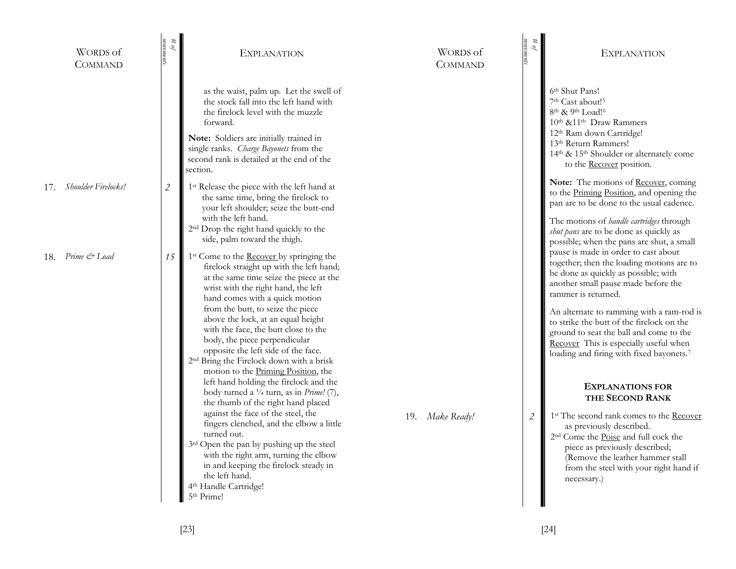| WORDS of<br><b>COMMAND</b> | $\mu$ of<br>тогет           | <b>EXPLANATION</b>                                                                                                                                                                                                                                                                                                                                                                                                                                                                                                    | WORDS of<br><b>COMMAND</b> | $\ddagger$<br>$\mathscr{P}$ | <b>EXPLANATION</b>                                                                                                                                                                                                                                                                                                                                                                                                 |
|----------------------------|-----------------------------|-----------------------------------------------------------------------------------------------------------------------------------------------------------------------------------------------------------------------------------------------------------------------------------------------------------------------------------------------------------------------------------------------------------------------------------------------------------------------------------------------------------------------|----------------------------|-----------------------------|--------------------------------------------------------------------------------------------------------------------------------------------------------------------------------------------------------------------------------------------------------------------------------------------------------------------------------------------------------------------------------------------------------------------|
|                            |                             | as the waist, palm up. Let the swell of<br>the stock fall into the left hand with<br>the firelock level with the muzzle<br>forward.<br>Note: Soldiers are initially trained in<br>single ranks. Charge Bayonets from the<br>second rank is detailed at the end of the<br>section.                                                                                                                                                                                                                                     |                            |                             | 6 <sup>th</sup> Shut Pans!<br>7 <sup>th</sup> Cast about! <sup>5</sup><br>8 <sup>th</sup> & 9 <sup>th</sup> Load! <sup>6</sup><br>10 <sup>th</sup> &11 <sup>th</sup> Draw Rammers<br>12 <sup>th</sup> Ram down Cartridge!<br>13 <sup>th</sup> Return Rammers!<br>14 <sup>th</sup> & 15 <sup>th</sup> Shoulder or alternately come<br>to the <b>Recover</b> position.                                               |
| Shoulder Firelocks!<br>17. | $\mathcal{L}_{\mathcal{L}}$ | 1 <sup>st</sup> Release the piece with the left hand at<br>the same time, bring the firelock to<br>your left shoulder; seize the butt-end<br>with the left hand.<br>2 <sup>nd</sup> Drop the right hand quickly to the<br>side, palm toward the thigh.                                                                                                                                                                                                                                                                |                            |                             | Note: The motions of Recover, coming<br>to the Priming Position, and opening the<br>pan are to be done to the usual cadence.<br>The motions of <i>handle cartridges</i> through<br>shut pans are to be done as quickly as<br>possible; when the pans are shut, a small                                                                                                                                             |
| Prime & Load<br>18.        | 15                          | 1 <sup>st</sup> Come to the <b>Recover</b> by springing the<br>firelock straight up with the left hand;<br>at the same time seize the piece at the<br>wrist with the right hand, the left<br>hand comes with a quick motion<br>from the butt, to seize the piece<br>above the lock, at an equal height<br>with the face, the butt close to the<br>body, the piece perpendicular<br>opposite the left side of the face.<br>2 <sup>nd</sup> Bring the Firelock down with a brisk<br>motion to the Priming Position, the |                            |                             | pause is made in order to cast about<br>together; then the loading motions are to<br>be done as quickly as possible; with<br>another small pause made before the<br>rammer is returned.<br>An alternate to ramming with a ram-rod is<br>to strike the butt of the firelock on the<br>ground to seat the ball and come to the<br>Recover This is especially useful when<br>loading and firing with fixed bayonets.7 |
|                            |                             | left hand holding the firelock and the<br>body turned a $\frac{1}{4}$ turn, as in <i>Prime!</i> (7),<br>the thumb of the right hand placed<br>against the face of the steel, the<br>fingers clenched, and the elbow a little<br>turned out.<br>3 <sup>rd</sup> Open the pan by pushing up the steel<br>with the right arm, turning the elbow<br>in and keeping the firelock steady in<br>the left hand.<br>4 <sup>th</sup> Handle Cartridge!<br>5 <sup>th</sup> Prime!                                                | 19. Make Ready!            | 2                           | <b>EXPLANATIONS FOR</b><br>THE SECOND RANK<br>1 <sup>st</sup> The second rank comes to the Recover<br>as previously described.<br>2 <sup>nd</sup> Come the Poise and full cock the<br>piece as previously described;<br>(Remove the leather hammer stall<br>from the steel with your right hand if<br>necessary.)                                                                                                  |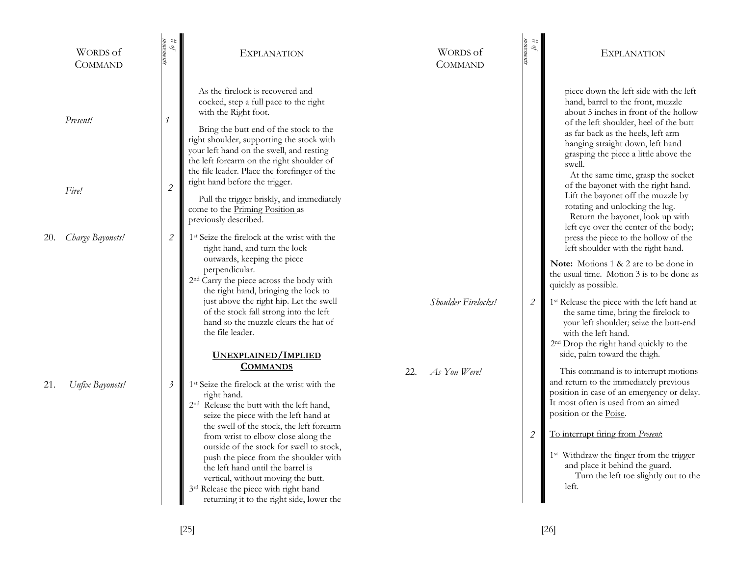|     | WORDS of<br><b>COMMAND</b> | $\begin{array}{l} \# \ \mathit{of} \\ \mathit{moments} \end{array}$ | EXPLANATION                                                                                                                                                                                                                                                                                                                                                                                                                                                                                                       |     | WORDS of<br><b>COMMAND</b> | #<br>$\mathscr{Q}$          | <b>EXPLANATION</b>                                                                                                                                                                                                                                                                                                                                                             |
|-----|----------------------------|---------------------------------------------------------------------|-------------------------------------------------------------------------------------------------------------------------------------------------------------------------------------------------------------------------------------------------------------------------------------------------------------------------------------------------------------------------------------------------------------------------------------------------------------------------------------------------------------------|-----|----------------------------|-----------------------------|--------------------------------------------------------------------------------------------------------------------------------------------------------------------------------------------------------------------------------------------------------------------------------------------------------------------------------------------------------------------------------|
|     | Present!                   |                                                                     | As the firelock is recovered and<br>cocked, step a full pace to the right<br>with the Right foot.<br>Bring the butt end of the stock to the<br>right shoulder, supporting the stock with<br>your left hand on the swell, and resting<br>the left forearm on the right shoulder of<br>the file leader. Place the forefinger of the                                                                                                                                                                                 |     |                            |                             | piece down the left side with the left<br>hand, barrel to the front, muzzle<br>about 5 inches in front of the hollow<br>of the left shoulder, heel of the butt<br>as far back as the heels, left arm<br>hanging straight down, left hand<br>grasping the piece a little above the<br>swell.<br>At the same time, grasp the socket                                              |
|     | Fire!                      | $\overline{2}$                                                      | right hand before the trigger.<br>Pull the trigger briskly, and immediately<br>come to the Priming Position as<br>previously described.                                                                                                                                                                                                                                                                                                                                                                           |     |                            |                             | of the bayonet with the right hand.<br>Lift the bayonet off the muzzle by<br>rotating and unlocking the lug.<br>Return the bayonet, look up with<br>left eye over the center of the body;                                                                                                                                                                                      |
| 20. | Charge Bayonets!           | $\mathcal{L}_{\mathcal{L}}$                                         | 1 <sup>st</sup> Seize the firelock at the wrist with the<br>right hand, and turn the lock                                                                                                                                                                                                                                                                                                                                                                                                                         |     |                            |                             | press the piece to the hollow of the<br>left shoulder with the right hand.                                                                                                                                                                                                                                                                                                     |
|     |                            |                                                                     | outwards, keeping the piece<br>perpendicular.<br>2 <sup>nd</sup> Carry the piece across the body with<br>the right hand, bringing the lock to                                                                                                                                                                                                                                                                                                                                                                     |     |                            |                             | Note: Motions 1 & 2 are to be done in<br>the usual time. Motion 3 is to be done as<br>quickly as possible.                                                                                                                                                                                                                                                                     |
|     |                            |                                                                     | just above the right hip. Let the swell<br>of the stock fall strong into the left<br>hand so the muzzle clears the hat of<br>the file leader.                                                                                                                                                                                                                                                                                                                                                                     |     | Shoulder Firelocks!        | $\mathcal{L}_{\mathcal{L}}$ | 1 <sup>st</sup> Release the piece with the left hand at<br>the same time, bring the firelock to<br>your left shoulder; seize the butt-end<br>with the left hand.<br>2 <sup>nd</sup> Drop the right hand quickly to the                                                                                                                                                         |
|     |                            |                                                                     | UNEXPLAINED/IMPLIED<br><b>COMMANDS</b>                                                                                                                                                                                                                                                                                                                                                                                                                                                                            |     |                            |                             | side, palm toward the thigh.                                                                                                                                                                                                                                                                                                                                                   |
| 21. | Unfix Bayonets!            | $\mathfrak{Z}$                                                      | 1 <sup>st</sup> Seize the firelock at the wrist with the<br>right hand.<br>2 <sup>nd</sup> Release the butt with the left hand,<br>seize the piece with the left hand at<br>the swell of the stock, the left forearm<br>from wrist to elbow close along the<br>outside of the stock for swell to stock,<br>push the piece from the shoulder with<br>the left hand until the barrel is<br>vertical, without moving the butt.<br>3rd Release the piece with right hand<br>returning it to the right side, lower the | 22. | As You Were!               | $\mathcal{L}_{\mathcal{L}}$ | This command is to interrupt motions<br>and return to the immediately previous<br>position in case of an emergency or delay.<br>It most often is used from an aimed<br>position or the Poise.<br>To interrupt firing from Present:<br>1 <sup>st</sup> Withdraw the finger from the trigger<br>and place it behind the guard.<br>Turn the left toe slightly out to the<br>left. |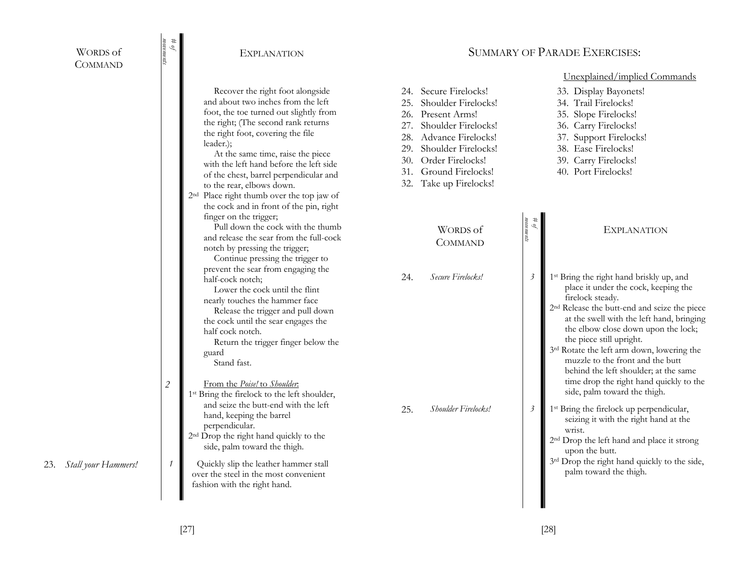| WORDS of |
|----------|
| COMMAND  |

23. *Stall your Hammers!* 

| movements<br>$\theta$ #     | <b>EXPLANATION</b>                                                                                                                                                                                                                                                                                                                                                                                                                                                        |     | <b>SUMMARY OF PARADE EXERCISES:</b>                                                                                                                                                                                          |                                  |                                                                                                                                                                                                                                                                                                                                                                                                                                               |  |  |  |  |
|-----------------------------|---------------------------------------------------------------------------------------------------------------------------------------------------------------------------------------------------------------------------------------------------------------------------------------------------------------------------------------------------------------------------------------------------------------------------------------------------------------------------|-----|------------------------------------------------------------------------------------------------------------------------------------------------------------------------------------------------------------------------------|----------------------------------|-----------------------------------------------------------------------------------------------------------------------------------------------------------------------------------------------------------------------------------------------------------------------------------------------------------------------------------------------------------------------------------------------------------------------------------------------|--|--|--|--|
|                             | Recover the right foot alongside<br>and about two inches from the left<br>foot, the toe turned out slightly from<br>the right; (The second rank returns<br>the right foot, covering the file<br>leader.);<br>At the same time, raise the piece<br>with the left hand before the left side<br>of the chest, barrel perpendicular and<br>to the rear, elbows down.<br>2 <sup>nd</sup> Place right thumb over the top jaw of<br>the cock and in front of the pin, right      | 25. | 24. Secure Firelocks!<br>Shoulder Firelocks!<br>26. Present Arms!<br>27. Shoulder Firelocks!<br>28. Advance Firelocks!<br>29. Shoulder Firelocks!<br>30. Order Firelocks!<br>31. Ground Firelocks!<br>32. Take up Firelocks! |                                  | Unexplained/implied Commands<br>33. Display Bayonets!<br>34. Trail Firelocks!<br>35. Slope Firelocks!<br>36. Carry Firelocks!<br>37. Support Firelocks!<br>38. Ease Firelocks!<br>39. Carry Firelocks!<br>40. Port Firelocks!                                                                                                                                                                                                                 |  |  |  |  |
|                             | finger on the trigger;<br>Pull down the cock with the thumb<br>and release the sear from the full-cock<br>notch by pressing the trigger;<br>Continue pressing the trigger to<br>prevent the sear from engaging the<br>half-cock notch;<br>Lower the cock until the flint<br>nearly touches the hammer face<br>Release the trigger and pull down<br>the cock until the sear engages the<br>half cock notch.<br>Return the trigger finger below the<br>guard<br>Stand fast. | 24. | WORDS of<br><b>COMMAND</b><br>Secure Firelocks!                                                                                                                                                                              | movements<br>Í<br>$\mathfrak{Z}$ | <b>EXPLANATION</b><br>1 <sup>st</sup> Bring the right hand briskly up, and<br>place it under the cock, keeping the<br>firelock steady.<br>2 <sup>nd</sup> Release the butt-end and seize the piece<br>at the swell with the left hand, bringing<br>the elbow close down upon the lock;<br>the piece still upright.<br>3rd Rotate the left arm down, lowering the<br>muzzle to the front and the butt<br>behind the left shoulder; at the same |  |  |  |  |
| $\sqrt{2}$<br>$\mathcal{I}$ | From the Poise! to Shoulder.<br>1 <sup>st</sup> Bring the firelock to the left shoulder,<br>and seize the butt-end with the left<br>hand, keeping the barrel<br>perpendicular.<br>2 <sup>nd</sup> Drop the right hand quickly to the<br>side, palm toward the thigh.<br>Quickly slip the leather hammer stall<br>over the steel in the most convenient<br>fashion with the right hand.                                                                                    | 25. | Shoulder Firelocks!                                                                                                                                                                                                          | $\mathfrak{Z}$                   | time drop the right hand quickly to the<br>side, palm toward the thigh.<br>1 <sup>st</sup> Bring the firelock up perpendicular,<br>seizing it with the right hand at the<br>wrist.<br>2 <sup>nd</sup> Drop the left hand and place it strong<br>upon the butt.<br>3rd Drop the right hand quickly to the side,<br>palm toward the thigh.                                                                                                      |  |  |  |  |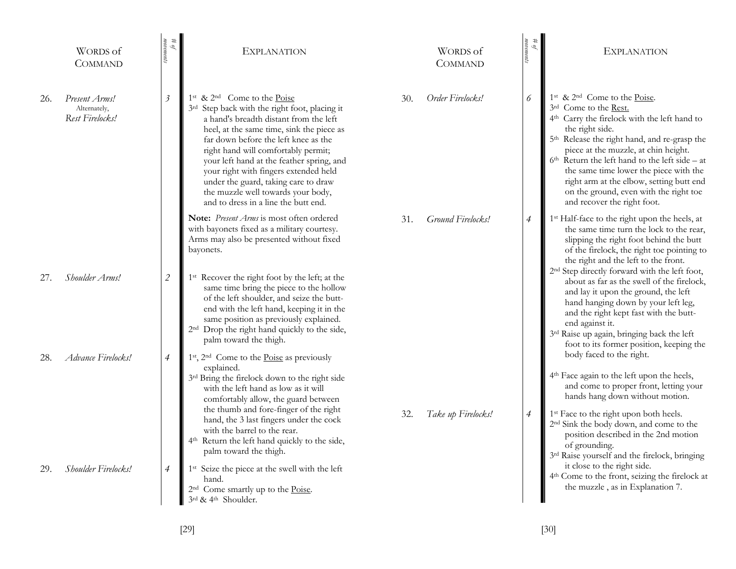|     | WORDS of<br><b>COMMAND</b>                       | $\theta$ #<br>nems | <b>EXPLANATION</b>                                                                                                                                                                                                                                                                                                                                                                                                                                                                     |     | <b>WORDS</b> of<br><b>COMMAND</b> | $\sqrt{\theta}$ #<br>ŗц | <b>EXPLANATION</b>                                                                                                                                                                                                                                                                                                                                                                                                                                                                  |
|-----|--------------------------------------------------|--------------------|----------------------------------------------------------------------------------------------------------------------------------------------------------------------------------------------------------------------------------------------------------------------------------------------------------------------------------------------------------------------------------------------------------------------------------------------------------------------------------------|-----|-----------------------------------|-------------------------|-------------------------------------------------------------------------------------------------------------------------------------------------------------------------------------------------------------------------------------------------------------------------------------------------------------------------------------------------------------------------------------------------------------------------------------------------------------------------------------|
| 26. | Present Arms!<br>Alternately,<br>Rest Firelocks! | $\mathfrak{Z}$     | 1 <sup>st</sup> & 2 <sup>nd</sup> Come to the Poise<br>3rd Step back with the right foot, placing it<br>a hand's breadth distant from the left<br>heel, at the same time, sink the piece as<br>far down before the left knee as the<br>right hand will comfortably permit;<br>your left hand at the feather spring, and<br>your right with fingers extended held<br>under the guard, taking care to draw<br>the muzzle well towards your body,<br>and to dress in a line the butt end. | 30. | Order Firelocks!                  | 6                       | 1 <sup>st</sup> & 2 <sup>nd</sup> Come to the Poise.<br>3rd Come to the Rest.<br>4 <sup>th</sup> Carry the firelock with the left hand to<br>the right side.<br>5 <sup>th</sup> Release the right hand, and re-grasp the<br>piece at the muzzle, at chin height.<br>$6th$ Return the left hand to the left side – at<br>the same time lower the piece with the<br>right arm at the elbow, setting butt end<br>on the ground, even with the right toe<br>and recover the right foot. |
|     |                                                  |                    | Note: Present Arms is most often ordered<br>with bayonets fixed as a military courtesy.<br>Arms may also be presented without fixed<br>bayonets.                                                                                                                                                                                                                                                                                                                                       | 31. | Ground Firelocks!                 | $\overline{4}$          | 1 <sup>st</sup> Half-face to the right upon the heels, at<br>the same time turn the lock to the rear,<br>slipping the right foot behind the butt<br>of the firelock, the right toe pointing to<br>the right and the left to the front.                                                                                                                                                                                                                                              |
| 27. | Shoulder Arms!                                   | $\overline{2}$     | 1 <sup>st</sup> Recover the right foot by the left; at the<br>same time bring the piece to the hollow<br>of the left shoulder, and seize the butt-<br>end with the left hand, keeping it in the<br>same position as previously explained.<br>2 <sup>nd</sup> Drop the right hand quickly to the side,<br>palm toward the thigh.                                                                                                                                                        |     |                                   |                         | 2 <sup>nd</sup> Step directly forward with the left foot,<br>about as far as the swell of the firelock,<br>and lay it upon the ground, the left<br>hand hanging down by your left leg,<br>and the right kept fast with the butt-<br>end against it.<br>3rd Raise up again, bringing back the left<br>foot to its former position, keeping the                                                                                                                                       |
| 28. | Advance Firelocks!                               | $\overline{4}$     | 1st, 2 <sup>nd</sup> Come to the Poise as previously<br>explained.<br>3rd Bring the firelock down to the right side<br>with the left hand as low as it will<br>comfortably allow, the guard between<br>the thumb and fore-finger of the right                                                                                                                                                                                                                                          |     |                                   |                         | body faced to the right.<br>4 <sup>th</sup> Face again to the left upon the heels,<br>and come to proper front, letting your<br>hands hang down without motion.                                                                                                                                                                                                                                                                                                                     |
|     |                                                  |                    | hand, the 3 last fingers under the cock<br>with the barrel to the rear.<br>4 <sup>th</sup> Return the left hand quickly to the side,<br>palm toward the thigh.                                                                                                                                                                                                                                                                                                                         | 32. | Take up Firelocks!                | $\overline{4}$          | 1 <sup>st</sup> Face to the right upon both heels.<br>2 <sup>nd</sup> Sink the body down, and come to the<br>position described in the 2nd motion<br>of grounding.<br>3rd Raise yourself and the firelock, bringing                                                                                                                                                                                                                                                                 |
| 29. | Shoulder Firelocks!                              | $\overline{4}$     | 1 <sup>st</sup> Seize the piece at the swell with the left<br>hand.<br>2 <sup>nd</sup> Come smartly up to the Poise.<br>3rd & 4th Shoulder.                                                                                                                                                                                                                                                                                                                                            |     |                                   |                         | it close to the right side.<br>4 <sup>th</sup> Come to the front, seizing the firelock at<br>the muzzle, as in Explanation 7.                                                                                                                                                                                                                                                                                                                                                       |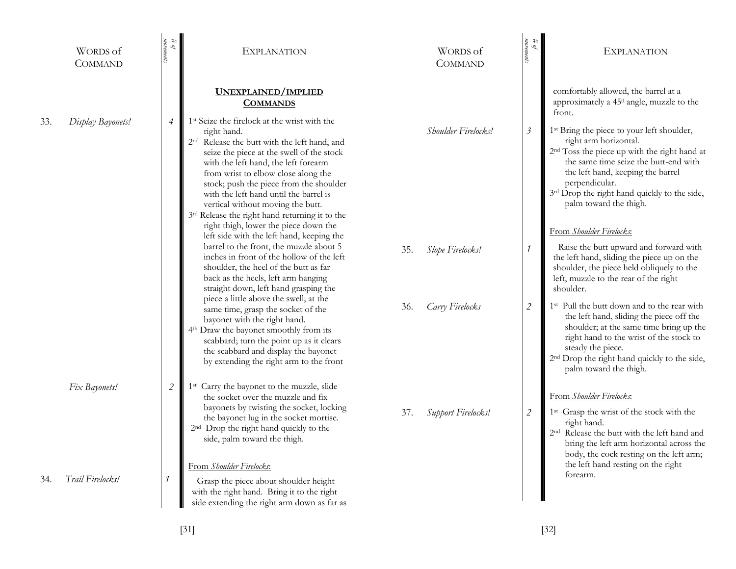|     | <b>WORDS</b> of<br><b>COMMAND</b> | #<br>топетену<br>Q          | <b>EXPLANATION</b>                                                                                                                                                                                                                                                                                                                                                                                                                                                                   |     | WORDS of<br><b>COMMAND</b> | $\stackrel{\#}{\underbrace{\phantom{a\phantom{a}}\mathcal{M}}}=\stackrel{\#\mu}{\underbrace{\phantom{a\phantom{a}}\mathcal{M}}}$ | <b>EXPLANATION</b>                                                                                                                                                                                                                                                                                                                                |
|-----|-----------------------------------|-----------------------------|--------------------------------------------------------------------------------------------------------------------------------------------------------------------------------------------------------------------------------------------------------------------------------------------------------------------------------------------------------------------------------------------------------------------------------------------------------------------------------------|-----|----------------------------|----------------------------------------------------------------------------------------------------------------------------------|---------------------------------------------------------------------------------------------------------------------------------------------------------------------------------------------------------------------------------------------------------------------------------------------------------------------------------------------------|
|     |                                   |                             | UNEXPLAINED/IMPLIED<br><b>COMMANDS</b>                                                                                                                                                                                                                                                                                                                                                                                                                                               |     |                            |                                                                                                                                  | comfortably allowed, the barrel at a<br>approximately a 45 <sup>0</sup> angle, muzzle to the<br>front.                                                                                                                                                                                                                                            |
| 33. | Display Bayonets!                 | $\overline{4}$              | 1 <sup>st</sup> Seize the firelock at the wrist with the<br>right hand.<br>2 <sup>nd</sup> Release the butt with the left hand, and<br>seize the piece at the swell of the stock<br>with the left hand, the left forearm<br>from wrist to elbow close along the<br>stock; push the piece from the shoulder<br>with the left hand until the barrel is<br>vertical without moving the butt.<br>3rd Release the right hand returning it to the<br>right thigh, lower the piece down the |     | Shoulder Firelocks!        | $\beta$                                                                                                                          | 1 <sup>st</sup> Bring the piece to your left shoulder,<br>right arm horizontal.<br>2 <sup>nd</sup> Toss the piece up with the right hand at<br>the same time seize the butt-end with<br>the left hand, keeping the barrel<br>perpendicular.<br>3rd Drop the right hand quickly to the side,<br>palm toward the thigh.<br>From Shoulder Firelocks: |
|     |                                   |                             | left side with the left hand, keeping the<br>barrel to the front, the muzzle about 5<br>inches in front of the hollow of the left<br>shoulder, the heel of the butt as far<br>back as the heels, left arm hanging<br>straight down, left hand grasping the                                                                                                                                                                                                                           | 35. | Slope Firelocks!           | $\mathcal{I}$                                                                                                                    | Raise the butt upward and forward with<br>the left hand, sliding the piece up on the<br>shoulder, the piece held obliquely to the<br>left, muzzle to the rear of the right<br>shoulder.                                                                                                                                                           |
|     |                                   |                             | piece a little above the swell; at the<br>same time, grasp the socket of the<br>bayonet with the right hand.<br>4 <sup>th</sup> Draw the bayonet smoothly from its<br>scabbard; turn the point up as it clears<br>the scabbard and display the bayonet<br>by extending the right arm to the front                                                                                                                                                                                    | 36. | Carry Firelocks            | $\mathcal{L}_{\mathcal{L}}$                                                                                                      | 1 <sup>st</sup> Pull the butt down and to the rear with<br>the left hand, sliding the piece off the<br>shoulder; at the same time bring up the<br>right hand to the wrist of the stock to<br>steady the piece.<br>2 <sup>nd</sup> Drop the right hand quickly to the side,<br>palm toward the thigh.                                              |
|     | Fix Bayonets!                     | $\mathcal{L}_{\mathcal{L}}$ | 1 <sup>st</sup> Carry the bayonet to the muzzle, slide<br>the socket over the muzzle and fix<br>bayonets by twisting the socket, locking<br>the bayonet lug in the socket mortise.<br>2 <sup>nd</sup> Drop the right hand quickly to the<br>side, palm toward the thigh.                                                                                                                                                                                                             | 37. | Support Firelocks!         | $\sqrt{2}$                                                                                                                       | From Shoulder Firelocks:<br>1 <sup>st</sup> Grasp the wrist of the stock with the<br>right hand.<br>2 <sup>nd</sup> Release the butt with the left hand and<br>bring the left arm horizontal across the<br>body, the cock resting on the left arm;                                                                                                |
| 34. | Trail Firelocks!                  |                             | From <i>Shoulder Firelocks</i> :<br>Grasp the piece about shoulder height<br>with the right hand. Bring it to the right<br>side extending the right arm down as far as                                                                                                                                                                                                                                                                                                               |     |                            |                                                                                                                                  | the left hand resting on the right<br>forearm.                                                                                                                                                                                                                                                                                                    |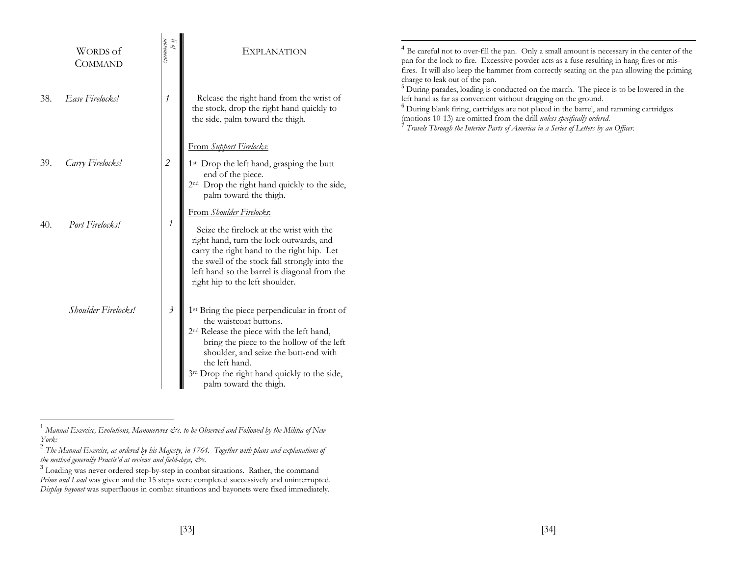|     | <b>WORDS</b> of<br><b>COMMAND</b> | $\begin{array}{l} \# \; \mathcal{G} \\ \mathit{moments} \end{array}$<br>Q | <b>EXPLANATION</b>                                                                                                                                                                                                                                                                                                             | <sup>4</sup> Be careful not to over-fill the pan. Only a small amount is necessary in the center of the<br>pan for the lock to fire. Excessive powder acts as a fuse resulting in hang fires or mis-<br>fires. It will also keep the hammer from correctly seating on the pan allowing the priming<br>charge to leak out of the pan.                                                                                                            |
|-----|-----------------------------------|---------------------------------------------------------------------------|--------------------------------------------------------------------------------------------------------------------------------------------------------------------------------------------------------------------------------------------------------------------------------------------------------------------------------|-------------------------------------------------------------------------------------------------------------------------------------------------------------------------------------------------------------------------------------------------------------------------------------------------------------------------------------------------------------------------------------------------------------------------------------------------|
| 38. | Ease Firelocks!                   |                                                                           | Release the right hand from the wrist of<br>the stock, drop the right hand quickly to<br>the side, palm toward the thigh.                                                                                                                                                                                                      | <sup>5</sup> During parades, loading is conducted on the march. The piece is to be lowered in the<br>left hand as far as convenient without dragging on the ground.<br><sup>6</sup> During blank firing, cartridges are not placed in the barrel, and ramming cartridges<br>(motions 10-13) are omitted from the drill unless specifically ordered.<br>$^7$ Travels Through the Interior Parts of America in a Series of Letters by an Officer. |
|     |                                   |                                                                           | From Support Firelocks:                                                                                                                                                                                                                                                                                                        |                                                                                                                                                                                                                                                                                                                                                                                                                                                 |
| 39. | Carry Firelocks!                  | $\mathcal{L}_{\mathcal{L}}$                                               | 1 <sup>st</sup> Drop the left hand, grasping the butt<br>end of the piece.<br>2 <sup>nd</sup> Drop the right hand quickly to the side,<br>palm toward the thigh.                                                                                                                                                               |                                                                                                                                                                                                                                                                                                                                                                                                                                                 |
| 40. | Port Firelocks!                   | $\mathcal{I}$                                                             | From Shoulder Firelocks:<br>Seize the firelock at the wrist with the<br>right hand, turn the lock outwards, and<br>carry the right hand to the right hip. Let<br>the swell of the stock fall strongly into the<br>left hand so the barrel is diagonal from the<br>right hip to the left shoulder.                              |                                                                                                                                                                                                                                                                                                                                                                                                                                                 |
|     | Shoulder Firelocks!               | $\mathfrak{Z}$                                                            | 1 <sup>st</sup> Bring the piece perpendicular in front of<br>the waistcoat buttons.<br>2 <sup>nd</sup> Release the piece with the left hand,<br>bring the piece to the hollow of the left<br>shoulder, and seize the butt-end with<br>the left hand.<br>3rd Drop the right hand quickly to the side,<br>palm toward the thigh. |                                                                                                                                                                                                                                                                                                                                                                                                                                                 |

 $^1$  Manual Exercise, Evolutions, Manouervres &c. to be Observed and Followed by the Militia of New *York:* 

2 *The Manual Exercise, as ordered by his Majesty, in 1764. Together with plans and explanations of the method generally Practis'd at reviews and field-days, &c.*

 $3$  Loading was never ordered step-by-step in combat situations. Rather, the command *Prime and Load* was given and the 15 steps were completed successively and uninterrupted. *Display bayonet* was superfluous in combat situations and bayonets were fixed immediately.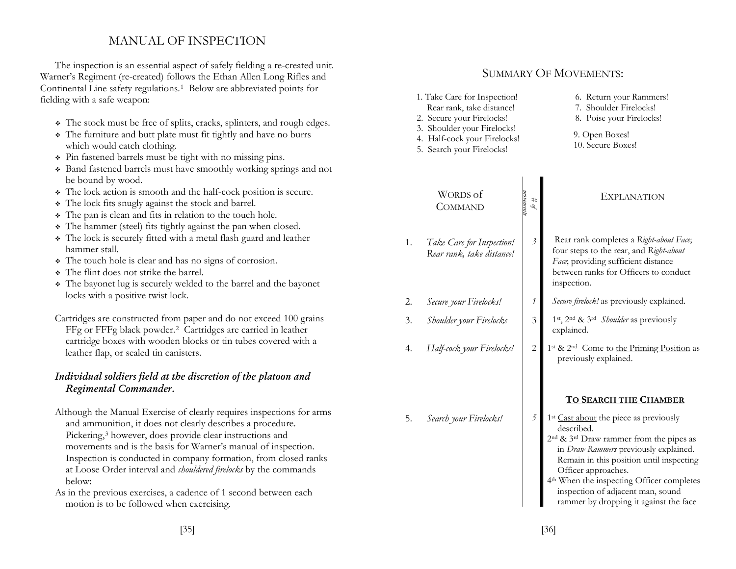# MANUAL OF INSPECTION

The inspection is an essential aspect of safely fielding a re-created unit. Warner's Regiment (re-created) follows the Ethan Allen Long Rifles and Continental Line safety regulations.1 Below are abbreviated points for fielding with a safe weapon:

- The stock must be free of splits, cracks, splinters, and rough edges.
- The furniture and butt plate must fit tightly and have no burrs which would catch clothing.
- Pin fastened barrels must be tight with no missing pins.
- Band fastened barrels must have smoothly working springs and not be bound by wood.
- The lock action is smooth and the half-cock position is secure.
- The lock fits snugly against the stock and barrel.
- The pan is clean and fits in relation to the touch hole.
- The hammer (steel) fits tightly against the pan when closed.
- The lock is securely fitted with a metal flash guard and leather hammer stall.
- The touch hole is clear and has no signs of corrosion.
- The flint does not strike the barrel.
- The bayonet lug is securely welded to the barrel and the bayonet locks with a positive twist lock.
- Cartridges are constructed from paper and do not exceed 100 grains FFg or FFFg black powder.2 Cartridges are carried in leather cartridge boxes with wooden blocks or tin tubes covered with a leather flap, or sealed tin canisters.

## *Individual soldiers field at the discretion of the platoon and Regimental Commander.*

- Although the Manual Exercise of clearly requires inspections for arms and ammunition, it does not clearly describes a procedure. Pickering,<sup>3</sup> however, does provide clear instructions and movements and is the basis for Warner's manual of inspection. Inspection is conducted in company formation, from closed ranks at Loose Order interval and *shouldered firelocks* by the commands below:
- As in the previous exercises, a cadence of 1 second between each motion is to be followed when exercising.

# SUMMARY OF MOVEMENTS:

- 1. Take Care for Inspection! Rear rank, take distance!
- 2. Secure your Firelocks!
- 3. Shoulder your Firelocks!
- 4. Half-cock your Firelocks!
- 5. Search your Firelocks!

WORDS of **COMMAND** 

1. *Take Care for Inspection! Rear rank, take distance!* 

5. *Search your Firelocks!* 

2.

- 6. Return your Rammers!
- 7. Shoulder Firelocks!
- 8. Poise your Firelocks!
- 9. Open Boxes! 10. Secure Boxes!

### *# of movements* EXPLANATION*3* Rear rank completes a *Right-about Face*; four steps to the rear, and *Right-about Face*; providing sufficient distance between ranks for Officers to conduct inspection. *Secure your Firelocks! <sup>1</sup> Secure firelock!* as previously explained. 3. *Shoulder your Firelocks* 3 1<sup>st</sup>, 2<sup>nd</sup> & 3<sup>rd</sup> Shoulder as previously explained. 4. *Half-cock your Firelocks!* 2 1<sup>st</sup> & 2<sup>nd</sup> Come to the Priming Position as previously explained.

## **TO SEARCH THE CHAMBER**

- *5*1<sup>st</sup> Cast about the piece as previously described.
	- 2nd & 3rd Draw rammer from the pipes as in *Draw Rammers* previously explained. Remain in this position until inspecting Officer approaches.
	- 4th When the inspecting Officer completes inspection of adjacent man, sound rammer by dropping it against the face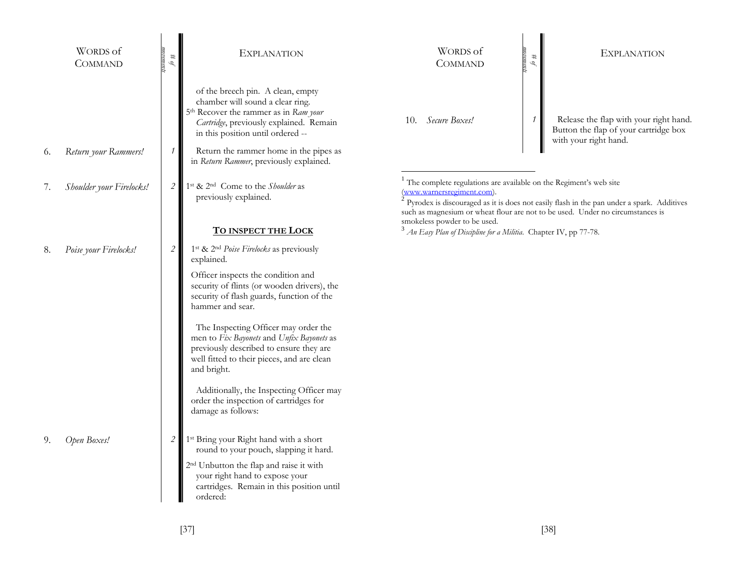|    | <b>WORDS</b> of<br><b>COMMAND</b> | постепи<br>#<br>Ó, | <b>EXPLANATION</b>                                                                                                                                                                                                                                                                              | WORDS of<br><b>COMMAND</b>                                                                                                                   | #<br>Ò,      | <b>EXPLANATION</b>                                                                                                                                                                       |
|----|-----------------------------------|--------------------|-------------------------------------------------------------------------------------------------------------------------------------------------------------------------------------------------------------------------------------------------------------------------------------------------|----------------------------------------------------------------------------------------------------------------------------------------------|--------------|------------------------------------------------------------------------------------------------------------------------------------------------------------------------------------------|
| 6. | Return your Rammers!              | $\mathcal I$       | of the breech pin. A clean, empty<br>chamber will sound a clear ring.<br>5 <sup>th</sup> Recover the rammer as in Ram your<br>Cartridge, previously explained. Remain<br>in this position until ordered --<br>Return the rammer home in the pipes as<br>in Return Rammer, previously explained. | Secure Boxes!<br>10.                                                                                                                         | $\mathcal I$ | Release the flap with your right hand.<br>Button the flap of your cartridge box<br>with your right hand.                                                                                 |
| 7. | Shoulder your Firelocks!          | $\overline{2}$     | 1 <sup>st</sup> & 2 <sup>nd</sup> Come to the <i>Shoulder</i> as<br>previously explained.                                                                                                                                                                                                       | <sup>1</sup> The complete regulations are available on the Regiment's web site<br>(www.warnersregiment.com).<br>smokeless powder to be used. |              | <sup>2</sup> Pyrodex is discouraged as it is does not easily flash in the pan under a spark. Additives<br>such as magnesium or wheat flour are not to be used. Under no circumstances is |
| 8. | Poise your Firelocks!             | $\overline{2}$     | <u>TO INSPECT THE LOCK</u><br>1 <sup>st</sup> & 2 <sup>nd</sup> Poise Firelocks as previously                                                                                                                                                                                                   | $3$ An Easy Plan of Discipline for a Militia. Chapter IV, pp 77-78.                                                                          |              |                                                                                                                                                                                          |
|    |                                   |                    | explained.<br>Officer inspects the condition and<br>security of flints (or wooden drivers), the<br>security of flash guards, function of the<br>hammer and sear.                                                                                                                                |                                                                                                                                              |              |                                                                                                                                                                                          |
|    |                                   |                    | The Inspecting Officer may order the<br>men to Fix Bayonets and Unfix Bayonets as<br>previously described to ensure they are<br>well fitted to their pieces, and are clean<br>and bright.                                                                                                       |                                                                                                                                              |              |                                                                                                                                                                                          |
|    |                                   |                    | Additionally, the Inspecting Officer may<br>order the inspection of cartridges for<br>damage as follows:                                                                                                                                                                                        |                                                                                                                                              |              |                                                                                                                                                                                          |
| 9. | Open Boxes!                       | $\overline{2}$     | 1 <sup>st</sup> Bring your Right hand with a short<br>round to your pouch, slapping it hard.                                                                                                                                                                                                    |                                                                                                                                              |              |                                                                                                                                                                                          |
|    |                                   |                    | 2 <sup>nd</sup> Unbutton the flap and raise it with<br>your right hand to expose your<br>cartridges. Remain in this position until<br>ordered:                                                                                                                                                  |                                                                                                                                              |              |                                                                                                                                                                                          |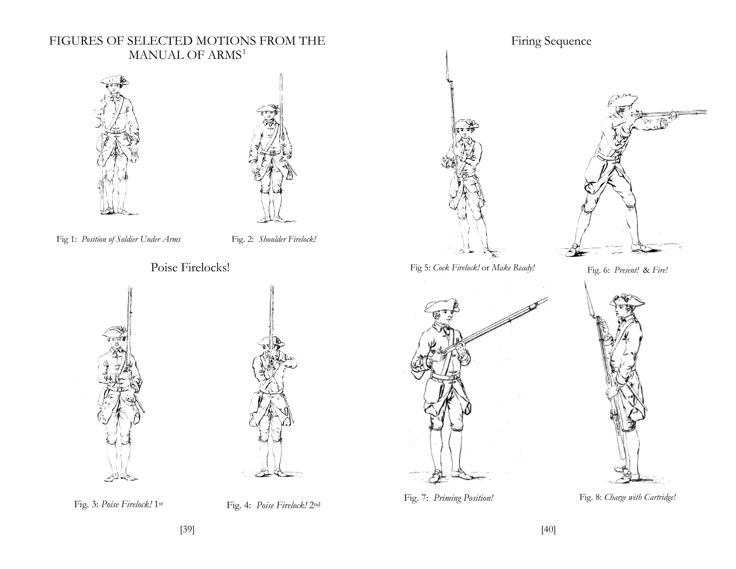## FIGURES OF SELECTED MOTIONS FROM THE MANUAL OF ARMS<sup>1</sup>





- Fig 1: *Position of Soldier Under Arms* Fig. 2: *Shoulder Firelock!*
- - Poise Firelocks!







Firing Sequence



Fig. 7: *Priming Position!* Fig. 8: *Charge with Cartridge!*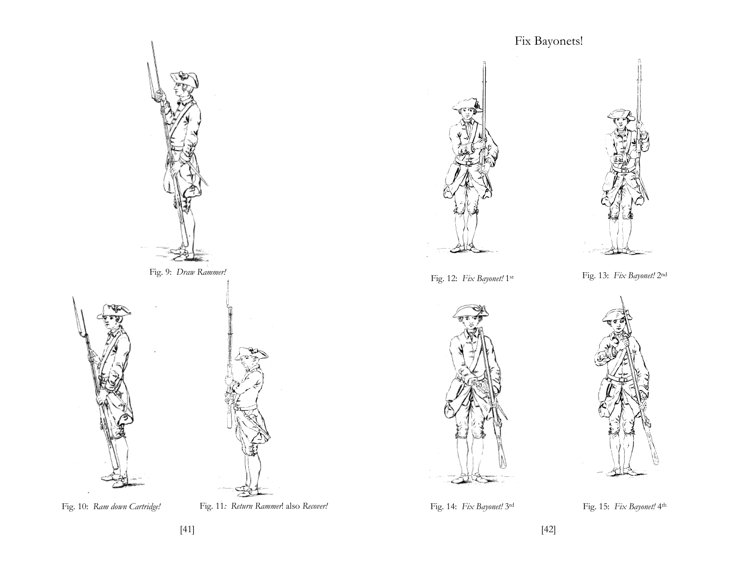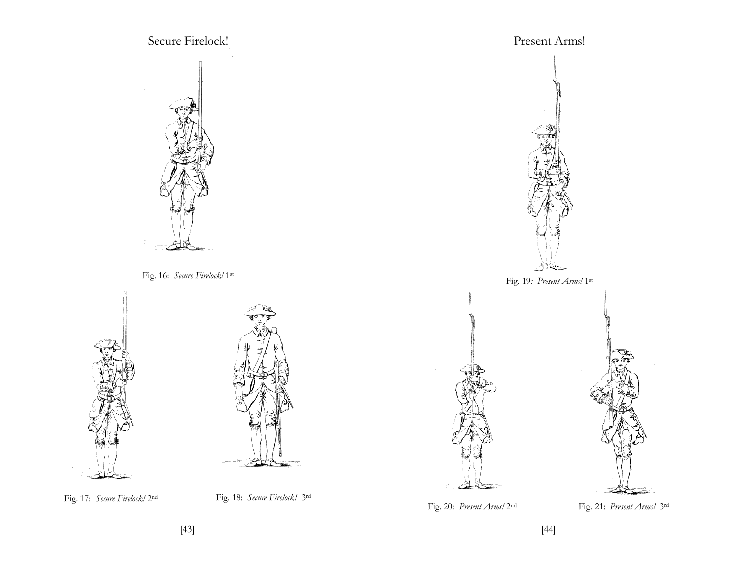

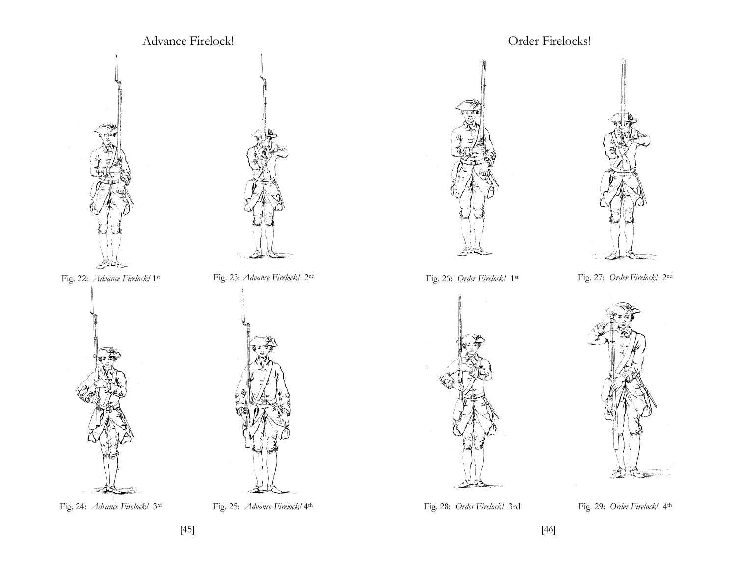